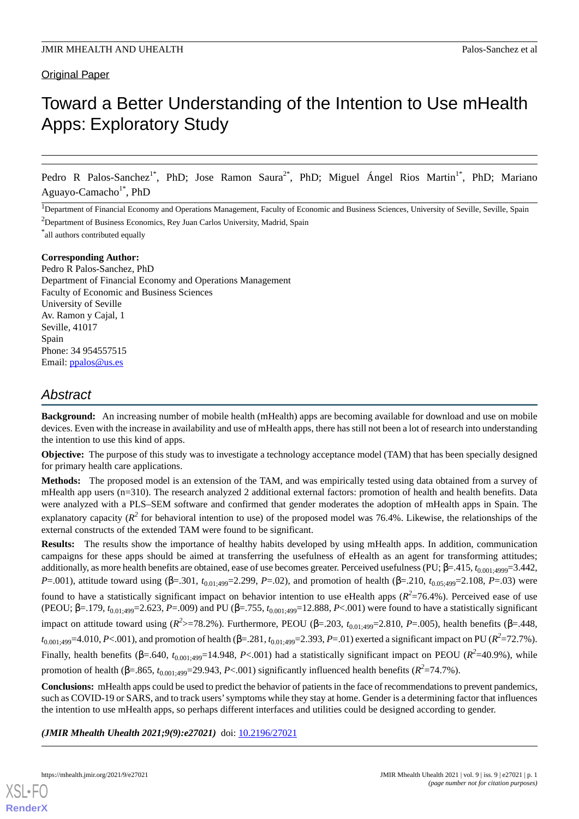# Original Paper

# Toward a Better Understanding of the Intention to Use mHealth Apps: Exploratory Study

Pedro R Palos-Sanchez<sup>1\*</sup>, PhD; Jose Ramon Saura<sup>2\*</sup>, PhD; Miguel Ángel Rios Martin<sup>1\*</sup>, PhD; Mariano Aguayo-Camacho<sup>1\*</sup>, PhD

 ${}^{1}$ Department of Financial Economy and Operations Management, Faculty of Economic and Business Sciences, University of Seville, Seville, Spain

<sup>2</sup>Department of Business Economics, Rey Juan Carlos University, Madrid, Spain

\* all authors contributed equally

### **Corresponding Author:**

Pedro R Palos-Sanchez, PhD Department of Financial Economy and Operations Management Faculty of Economic and Business Sciences University of Seville Av. Ramon y Cajal, 1 Seville, 41017 Spain Phone: 34 954557515 Email: [ppalos@us.es](mailto:ppalos@us.es)

# *Abstract*

**Background:** An increasing number of mobile health (mHealth) apps are becoming available for download and use on mobile devices. Even with the increase in availability and use of mHealth apps, there has still not been a lot of research into understanding the intention to use this kind of apps.

**Objective:** The purpose of this study was to investigate a technology acceptance model (TAM) that has been specially designed for primary health care applications.

**Methods:** The proposed model is an extension of the TAM, and was empirically tested using data obtained from a survey of mHealth app users (n=310). The research analyzed 2 additional external factors: promotion of health and health benefits. Data were analyzed with a PLS–SEM software and confirmed that gender moderates the adoption of mHealth apps in Spain. The explanatory capacity ( $R^2$  for behavioral intention to use) of the proposed model was 76.4%. Likewise, the relationships of the external constructs of the extended TAM were found to be significant.

**Results:** The results show the importance of healthy habits developed by using mHealth apps. In addition, communication campaigns for these apps should be aimed at transferring the usefulness of eHealth as an agent for transforming attitudes; additionally, as more health benefits are obtained, ease of use becomes greater. Perceived usefulness (PU; β=.415,  $t_{0.001;4999}=3.442$ , *P*=.001), attitude toward using (β=.301, *t*<sub>0.01:499</sub>=2.299, *P*=.02), and promotion of health (β=.210, *t*<sub>0.05:499</sub>=2.108, *P*=.03) were found to have a statistically significant impact on behavior intention to use eHealth apps  $(R^2=76.4\%)$ . Perceived ease of use (PEOU; β=.179,  $t_{0.01 \cdot 499}$ =2.623, *P*=.009) and PU (β=.755,  $t_{0.001 \cdot 499}$ =12.888, *P*<.001) were found to have a statistically significant impact on attitude toward using ( $R^2$ >=78.2%). Furthermore, PEOU (β=.203,  $t_{0.01;499}$ =2.810, *P*=.005), health benefits (β=.448, *t*<sub>0.001;499</sub>=4.010, *P*<.001), and promotion of health (β=.281, *t*<sub>0.01;499</sub>=2.393, *P*=.01) exerted a significant impact on PU (*R*<sup>2</sup>=72.7%). Finally, health benefits ( $\beta$ =.640,  $t_{0.001;499}$ =14.948, *P*<.001) had a statistically significant impact on PEOU ( $R^2$ =40.9%), while promotion of health ( $\beta$ =.865,  $t_{0.001;499}$ =29.943, *P*<.001) significantly influenced health benefits ( $R^2$ =74.7%).

**Conclusions:** mHealth apps could be used to predict the behavior of patients in the face of recommendations to prevent pandemics, such as COVID-19 or SARS, and to track users'symptoms while they stay at home. Gender is a determining factor that influences the intention to use mHealth apps, so perhaps different interfaces and utilities could be designed according to gender.

*(JMIR Mhealth Uhealth 2021;9(9):e27021)* doi:  $10.2196/27021$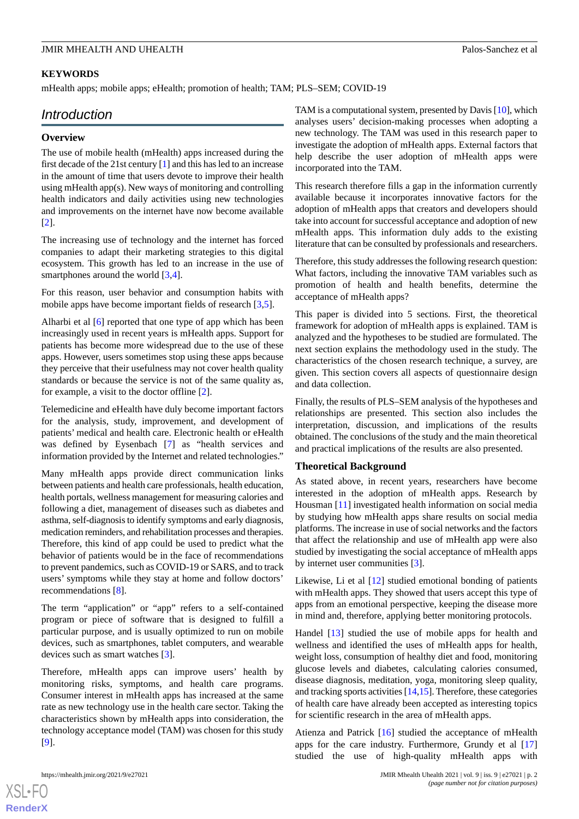# **KEYWORDS**

mHealth apps; mobile apps; eHealth; promotion of health; TAM; PLS–SEM; COVID-19

# *Introduction*

### **Overview**

The use of mobile health (mHealth) apps increased during the first decade of the 21st century [[1\]](#page-13-0) and this has led to an increase in the amount of time that users devote to improve their health using mHealth app(s). New ways of monitoring and controlling health indicators and daily activities using new technologies and improvements on the internet have now become available [[2\]](#page-13-1).

The increasing use of technology and the internet has forced companies to adapt their marketing strategies to this digital ecosystem. This growth has led to an increase in the use of smartphones around the world [[3,](#page-13-2)[4](#page-13-3)].

For this reason, user behavior and consumption habits with mobile apps have become important fields of research [\[3](#page-13-2),[5\]](#page-13-4).

Alharbi et al [\[6](#page-13-5)] reported that one type of app which has been increasingly used in recent years is mHealth apps. Support for patients has become more widespread due to the use of these apps. However, users sometimes stop using these apps because they perceive that their usefulness may not cover health quality standards or because the service is not of the same quality as, for example, a visit to the doctor offline [\[2](#page-13-1)].

Telemedicine and eHealth have duly become important factors for the analysis, study, improvement, and development of patients' medical and health care. Electronic health or eHealth was defined by Eysenbach [[7\]](#page-13-6) as "health services and information provided by the Internet and related technologies."

Many mHealth apps provide direct communication links between patients and health care professionals, health education, health portals, wellness management for measuring calories and following a diet, management of diseases such as diabetes and asthma, self-diagnosis to identify symptoms and early diagnosis, medication reminders, and rehabilitation processes and therapies. Therefore, this kind of app could be used to predict what the behavior of patients would be in the face of recommendations to prevent pandemics, such as COVID-19 or SARS, and to track users' symptoms while they stay at home and follow doctors' recommendations [\[8](#page-13-7)].

The term "application" or "app" refers to a self-contained program or piece of software that is designed to fulfill a particular purpose, and is usually optimized to run on mobile devices, such as smartphones, tablet computers, and wearable devices such as smart watches [\[3](#page-13-2)].

Therefore, mHealth apps can improve users' health by monitoring risks, symptoms, and health care programs. Consumer interest in mHealth apps has increased at the same rate as new technology use in the health care sector. Taking the characteristics shown by mHealth apps into consideration, the technology acceptance model (TAM) was chosen for this study [[9\]](#page-13-8).

TAM is a computational system, presented by Davis [\[10\]](#page-13-9), which analyses users' decision-making processes when adopting a new technology. The TAM was used in this research paper to investigate the adoption of mHealth apps. External factors that help describe the user adoption of mHealth apps were incorporated into the TAM.

This research therefore fills a gap in the information currently available because it incorporates innovative factors for the adoption of mHealth apps that creators and developers should take into account for successful acceptance and adoption of new mHealth apps. This information duly adds to the existing literature that can be consulted by professionals and researchers.

Therefore, this study addresses the following research question: What factors, including the innovative TAM variables such as promotion of health and health benefits, determine the acceptance of mHealth apps?

This paper is divided into 5 sections. First, the theoretical framework for adoption of mHealth apps is explained. TAM is analyzed and the hypotheses to be studied are formulated. The next section explains the methodology used in the study. The characteristics of the chosen research technique, a survey, are given. This section covers all aspects of questionnaire design and data collection.

Finally, the results of PLS–SEM analysis of the hypotheses and relationships are presented. This section also includes the interpretation, discussion, and implications of the results obtained. The conclusions of the study and the main theoretical and practical implications of the results are also presented.

### **Theoretical Background**

As stated above, in recent years, researchers have become interested in the adoption of mHealth apps. Research by Housman [[11\]](#page-13-10) investigated health information on social media by studying how mHealth apps share results on social media platforms. The increase in use of social networks and the factors that affect the relationship and use of mHealth app were also studied by investigating the social acceptance of mHealth apps by internet user communities [[3\]](#page-13-2).

Likewise, Li et al [\[12](#page-13-11)] studied emotional bonding of patients with mHealth apps. They showed that users accept this type of apps from an emotional perspective, keeping the disease more in mind and, therefore, applying better monitoring protocols.

Handel [\[13](#page-14-0)] studied the use of mobile apps for health and wellness and identified the uses of mHealth apps for health, weight loss, consumption of healthy diet and food, monitoring glucose levels and diabetes, calculating calories consumed, disease diagnosis, meditation, yoga, monitoring sleep quality, and tracking sports activities [[14,](#page-14-1)[15\]](#page-14-2). Therefore, these categories of health care have already been accepted as interesting topics for scientific research in the area of mHealth apps.

Atienza and Patrick [\[16](#page-14-3)] studied the acceptance of mHealth apps for the care industry. Furthermore, Grundy et al [\[17](#page-14-4)] studied the use of high-quality mHealth apps with

 $XS$ -FO **[RenderX](http://www.renderx.com/)**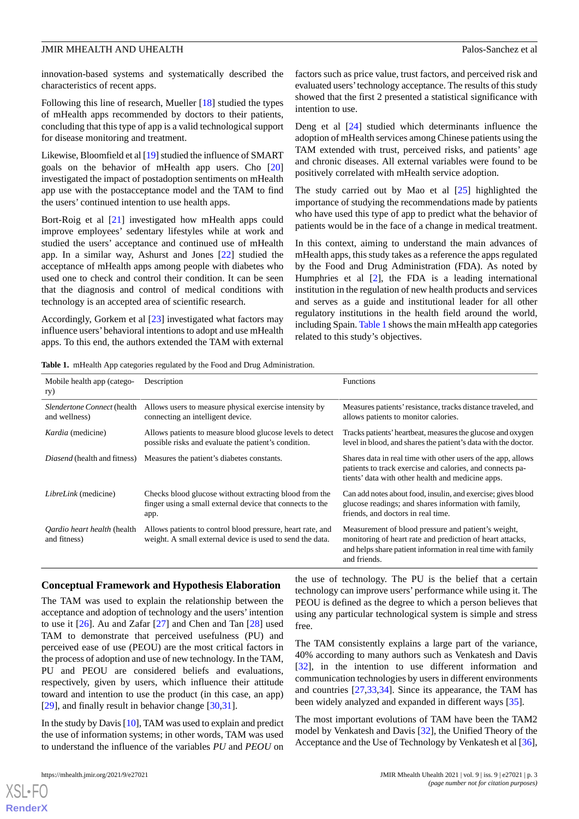innovation-based systems and systematically described the characteristics of recent apps.

Following this line of research, Mueller [[18\]](#page-14-5) studied the types of mHealth apps recommended by doctors to their patients, concluding that this type of app is a valid technological support for disease monitoring and treatment.

Likewise, Bloomfield et al [\[19](#page-14-6)] studied the influence of SMART goals on the behavior of mHealth app users. Cho [\[20](#page-14-7)] investigated the impact of postadoption sentiments on mHealth app use with the postacceptance model and the TAM to find the users' continued intention to use health apps.

Bort-Roig et al [\[21](#page-14-8)] investigated how mHealth apps could improve employees' sedentary lifestyles while at work and studied the users' acceptance and continued use of mHealth app. In a similar way, Ashurst and Jones [[22\]](#page-14-9) studied the acceptance of mHealth apps among people with diabetes who used one to check and control their condition. It can be seen that the diagnosis and control of medical conditions with technology is an accepted area of scientific research.

<span id="page-2-0"></span>Accordingly, Gorkem et al [[23\]](#page-14-10) investigated what factors may influence users'behavioral intentions to adopt and use mHealth apps. To this end, the authors extended the TAM with external

factors such as price value, trust factors, and perceived risk and evaluated users'technology acceptance. The results of this study showed that the first 2 presented a statistical significance with intention to use.

Deng et al [[24\]](#page-14-11) studied which determinants influence the adoption of mHealth services among Chinese patients using the TAM extended with trust, perceived risks, and patients' age and chronic diseases. All external variables were found to be positively correlated with mHealth service adoption.

The study carried out by Mao et al  $[25]$  $[25]$  highlighted the importance of studying the recommendations made by patients who have used this type of app to predict what the behavior of patients would be in the face of a change in medical treatment.

In this context, aiming to understand the main advances of mHealth apps, this study takes as a reference the apps regulated by the Food and Drug Administration (FDA). As noted by Humphries et al [[2\]](#page-13-1), the FDA is a leading international institution in the regulation of new health products and services and serves as a guide and institutional leader for all other regulatory institutions in the health field around the world, including Spain. [Table 1](#page-2-0) shows the main mHealth app categories related to this study's objectives.

| Mobile health app (catego-                                 | Description                                                                                                                 | <b>Functions</b>                                                                                                                                                                                 |
|------------------------------------------------------------|-----------------------------------------------------------------------------------------------------------------------------|--------------------------------------------------------------------------------------------------------------------------------------------------------------------------------------------------|
| ry)                                                        |                                                                                                                             |                                                                                                                                                                                                  |
| Slendertone Connect (health<br>and wellness)               | Allows users to measure physical exercise intensity by<br>connecting an intelligent device.                                 | Measures patients' resistance, tracks distance traveled, and<br>allows patients to monitor calories.                                                                                             |
| <i>Kardia</i> (medicine)                                   | Allows patients to measure blood glucose levels to detect<br>possible risks and evaluate the patient's condition.           | Tracks patients' heartbeat, measures the glucose and oxygen<br>level in blood, and shares the patient's data with the doctor.                                                                    |
|                                                            | <i>Diasend</i> (health and fitness) Measures the patient's diabetes constants.                                              | Shares data in real time with other users of the app, allows<br>patients to track exercise and calories, and connects pa-<br>tients' data with other health and medicine apps.                   |
| <i>LibreLink</i> (medicine)                                | Checks blood glucose without extracting blood from the<br>finger using a small external device that connects to the<br>app. | Can add notes about food, insulin, and exercise; gives blood<br>glucose readings; and shares information with family,<br>friends, and doctors in real time.                                      |
| <i><b>Oardio heart health (health)</b></i><br>and fitness) | Allows patients to control blood pressure, heart rate, and<br>weight. A small external device is used to send the data.     | Measurement of blood pressure and patient's weight,<br>monitoring of heart rate and prediction of heart attacks,<br>and helps share patient information in real time with family<br>and friends. |

### **Conceptual Framework and Hypothesis Elaboration**

The TAM was used to explain the relationship between the acceptance and adoption of technology and the users'intention to use it [\[26](#page-14-13)]. Au and Zafar [[27\]](#page-14-14) and Chen and Tan [\[28](#page-14-15)] used TAM to demonstrate that perceived usefulness (PU) and perceived ease of use (PEOU) are the most critical factors in the process of adoption and use of new technology. In the TAM, PU and PEOU are considered beliefs and evaluations, respectively, given by users, which influence their attitude toward and intention to use the product (in this case, an app) [[29\]](#page-14-16), and finally result in behavior change [[30](#page-14-17)[,31](#page-14-18)].

In the study by Davis [[10\]](#page-13-9), TAM was used to explain and predict the use of information systems; in other words, TAM was used to understand the influence of the variables *PU* and *PEOU* on

 $X$ SL•F $O$ **[RenderX](http://www.renderx.com/)**

the use of technology. The PU is the belief that a certain technology can improve users' performance while using it. The PEOU is defined as the degree to which a person believes that using any particular technological system is simple and stress free.

The TAM consistently explains a large part of the variance, 40% according to many authors such as Venkatesh and Davis [[32\]](#page-14-19), in the intention to use different information and communication technologies by users in different environments and countries [\[27](#page-14-14),[33,](#page-14-20)[34](#page-14-21)]. Since its appearance, the TAM has been widely analyzed and expanded in different ways [[35\]](#page-14-22).

The most important evolutions of TAM have been the TAM2 model by Venkatesh and Davis [[32\]](#page-14-19), the Unified Theory of the Acceptance and the Use of Technology by Venkatesh et al [[36\]](#page-14-23),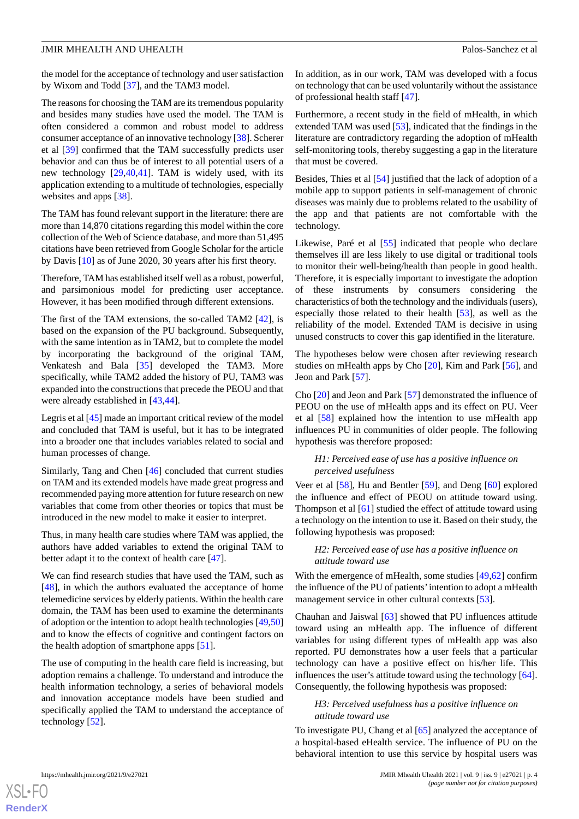the model for the acceptance of technology and user satisfaction by Wixom and Todd [\[37](#page-14-24)], and the TAM3 model.

The reasons for choosing the TAM are its tremendous popularity and besides many studies have used the model. The TAM is often considered a common and robust model to address consumer acceptance of an innovative technology [\[38](#page-14-25)]. Scherer et al [\[39](#page-15-0)] confirmed that the TAM successfully predicts user behavior and can thus be of interest to all potential users of a new technology [[29](#page-14-16)[,40](#page-15-1),[41\]](#page-15-2). TAM is widely used, with its application extending to a multitude of technologies, especially websites and apps [[38\]](#page-14-25).

The TAM has found relevant support in the literature: there are more than 14,870 citations regarding this model within the core collection of the Web of Science database, and more than 51,495 citations have been retrieved from Google Scholar for the article by Davis [[10\]](#page-13-9) as of June 2020, 30 years after his first theory.

Therefore, TAM has established itself well as a robust, powerful, and parsimonious model for predicting user acceptance. However, it has been modified through different extensions.

The first of the TAM extensions, the so-called TAM2 [\[42](#page-15-3)], is based on the expansion of the PU background. Subsequently, with the same intention as in TAM2, but to complete the model by incorporating the background of the original TAM, Venkatesh and Bala [\[35](#page-14-22)] developed the TAM3. More specifically, while TAM2 added the history of PU, TAM3 was expanded into the constructions that precede the PEOU and that were already established in [[43](#page-15-4)[,44](#page-15-5)].

Legris et al [[45\]](#page-15-6) made an important critical review of the model and concluded that TAM is useful, but it has to be integrated into a broader one that includes variables related to social and human processes of change.

Similarly, Tang and Chen [\[46](#page-15-7)] concluded that current studies on TAM and its extended models have made great progress and recommended paying more attention for future research on new variables that come from other theories or topics that must be introduced in the new model to make it easier to interpret.

Thus, in many health care studies where TAM was applied, the authors have added variables to extend the original TAM to better adapt it to the context of health care [\[47](#page-15-8)].

We can find research studies that have used the TAM, such as [[48\]](#page-15-9), in which the authors evaluated the acceptance of home telemedicine services by elderly patients. Within the health care domain, the TAM has been used to examine the determinants of adoption or the intention to adopt health technologies [\[49](#page-15-10)[,50](#page-15-11)] and to know the effects of cognitive and contingent factors on the health adoption of smartphone apps [[51\]](#page-15-12).

The use of computing in the health care field is increasing, but adoption remains a challenge. To understand and introduce the health information technology, a series of behavioral models and innovation acceptance models have been studied and specifically applied the TAM to understand the acceptance of technology [[52\]](#page-15-13).

In addition, as in our work, TAM was developed with a focus on technology that can be used voluntarily without the assistance of professional health staff [\[47](#page-15-8)].

Furthermore, a recent study in the field of mHealth, in which extended TAM was used [[53\]](#page-15-14), indicated that the findings in the literature are contradictory regarding the adoption of mHealth self-monitoring tools, thereby suggesting a gap in the literature that must be covered.

Besides, Thies et al [\[54](#page-15-15)] justified that the lack of adoption of a mobile app to support patients in self-management of chronic diseases was mainly due to problems related to the usability of the app and that patients are not comfortable with the technology.

Likewise, Paré et al [\[55](#page-15-16)] indicated that people who declare themselves ill are less likely to use digital or traditional tools to monitor their well-being/health than people in good health. Therefore, it is especially important to investigate the adoption of these instruments by consumers considering the characteristics of both the technology and the individuals (users), especially those related to their health [[53\]](#page-15-14), as well as the reliability of the model. Extended TAM is decisive in using unused constructs to cover this gap identified in the literature.

The hypotheses below were chosen after reviewing research studies on mHealth apps by Cho [[20\]](#page-14-7), Kim and Park [[56\]](#page-15-17), and Jeon and Park [\[57](#page-15-18)].

Cho [[20\]](#page-14-7) and Jeon and Park [[57\]](#page-15-18) demonstrated the influence of PEOU on the use of mHealth apps and its effect on PU. Veer et al [\[58](#page-15-19)] explained how the intention to use mHealth app influences PU in communities of older people. The following hypothesis was therefore proposed:

### *H1: Perceived ease of use has a positive influence on perceived usefulness*

Veer et al [\[58](#page-15-19)], Hu and Bentler [[59\]](#page-15-20), and Deng [[60\]](#page-15-21) explored the influence and effect of PEOU on attitude toward using. Thompson et al [\[61](#page-15-22)] studied the effect of attitude toward using a technology on the intention to use it. Based on their study, the following hypothesis was proposed:

### *H2: Perceived ease of use has a positive influence on attitude toward use*

With the emergence of mHealth, some studies [\[49](#page-15-10),[62\]](#page-15-23) confirm the influence of the PU of patients'intention to adopt a mHealth management service in other cultural contexts [\[53](#page-15-14)].

Chauhan and Jaiswal [\[63](#page-15-24)] showed that PU influences attitude toward using an mHealth app. The influence of different variables for using different types of mHealth app was also reported. PU demonstrates how a user feels that a particular technology can have a positive effect on his/her life. This influences the user's attitude toward using the technology [[64\]](#page-16-0). Consequently, the following hypothesis was proposed:

### *H3: Perceived usefulness has a positive influence on attitude toward use*

To investigate PU, Chang et al [\[65](#page-16-1)] analyzed the acceptance of a hospital-based eHealth service. The influence of PU on the behavioral intention to use this service by hospital users was

```
XSL•FO
RenderX
```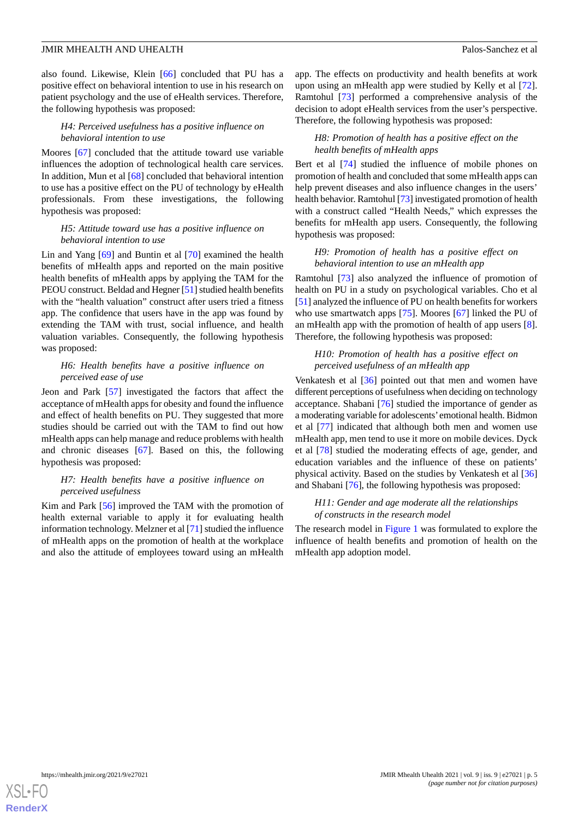also found. Likewise, Klein [[66\]](#page-16-2) concluded that PU has a positive effect on behavioral intention to use in his research on patient psychology and the use of eHealth services. Therefore, the following hypothesis was proposed:

### *H4: Perceived usefulness has a positive influence on behavioral intention to use*

Moores [\[67](#page-16-3)] concluded that the attitude toward use variable influences the adoption of technological health care services. In addition, Mun et al [[68\]](#page-16-4) concluded that behavioral intention to use has a positive effect on the PU of technology by eHealth professionals. From these investigations, the following hypothesis was proposed:

### *H5: Attitude toward use has a positive influence on behavioral intention to use*

Lin and Yang [\[69](#page-16-5)] and Buntin et al [\[70](#page-16-6)] examined the health benefits of mHealth apps and reported on the main positive health benefits of mHealth apps by applying the TAM for the PEOU construct. Beldad and Hegner [\[51\]](#page-15-12) studied health benefits with the "health valuation" construct after users tried a fitness app. The confidence that users have in the app was found by extending the TAM with trust, social influence, and health valuation variables. Consequently, the following hypothesis was proposed:

### *H6: Health benefits have a positive influence on perceived ease of use*

Jeon and Park [[57\]](#page-15-18) investigated the factors that affect the acceptance of mHealth apps for obesity and found the influence and effect of health benefits on PU. They suggested that more studies should be carried out with the TAM to find out how mHealth apps can help manage and reduce problems with health and chronic diseases [[67\]](#page-16-3). Based on this, the following hypothesis was proposed:

### *H7: Health benefits have a positive influence on perceived usefulness*

Kim and Park [\[56](#page-15-17)] improved the TAM with the promotion of health external variable to apply it for evaluating health information technology. Melzner et al [\[71](#page-16-7)] studied the influence of mHealth apps on the promotion of health at the workplace and also the attitude of employees toward using an mHealth

app. The effects on productivity and health benefits at work upon using an mHealth app were studied by Kelly et al [[72\]](#page-16-8). Ramtohul [\[73](#page-16-9)] performed a comprehensive analysis of the decision to adopt eHealth services from the user's perspective. Therefore, the following hypothesis was proposed:

### *H8: Promotion of health has a positive effect on the health benefits of mHealth apps*

Bert et al [\[74](#page-16-10)] studied the influence of mobile phones on promotion of health and concluded that some mHealth apps can help prevent diseases and also influence changes in the users' health behavior. Ramtohul [[73\]](#page-16-9) investigated promotion of health with a construct called "Health Needs," which expresses the benefits for mHealth app users. Consequently, the following hypothesis was proposed:

### *H9: Promotion of health has a positive effect on behavioral intention to use an mHealth app*

Ramtohul [[73\]](#page-16-9) also analyzed the influence of promotion of health on PU in a study on psychological variables. Cho et al [[51\]](#page-15-12) analyzed the influence of PU on health benefits for workers who use smartwatch apps [[75\]](#page-16-11). Moores [\[67](#page-16-3)] linked the PU of an mHealth app with the promotion of health of app users [[8\]](#page-13-7). Therefore, the following hypothesis was proposed:

#### *H10: Promotion of health has a positive effect on perceived usefulness of an mHealth app*

Venkatesh et al [\[36](#page-14-23)] pointed out that men and women have different perceptions of usefulness when deciding on technology acceptance. Shabani [[76\]](#page-16-12) studied the importance of gender as a moderating variable for adolescents'emotional health. Bidmon et al [\[77](#page-16-13)] indicated that although both men and women use mHealth app, men tend to use it more on mobile devices. Dyck et al [[78\]](#page-16-14) studied the moderating effects of age, gender, and education variables and the influence of these on patients' physical activity. Based on the studies by Venkatesh et al [\[36](#page-14-23)] and Shabani [[76\]](#page-16-12), the following hypothesis was proposed:

### *H11: Gender and age moderate all the relationships of constructs in the research model*

The research model in [Figure 1](#page-5-0) was formulated to explore the influence of health benefits and promotion of health on the mHealth app adoption model.

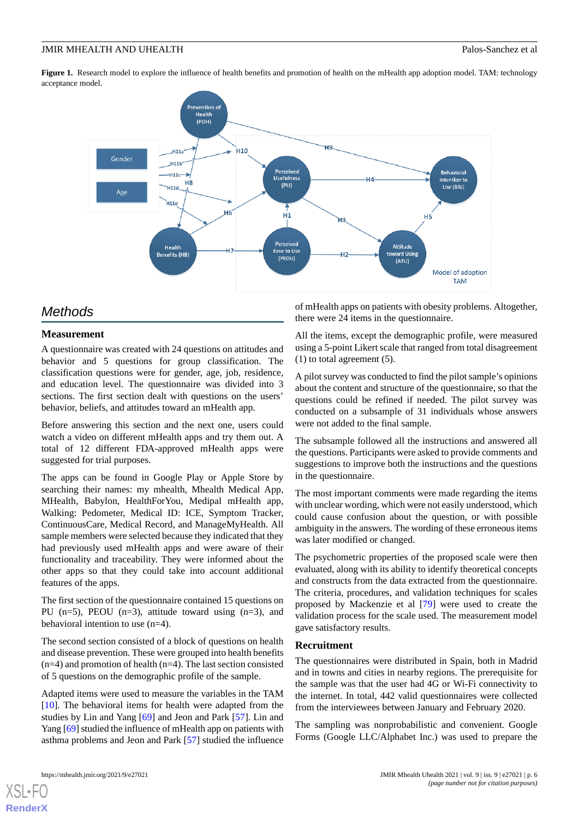<span id="page-5-0"></span>**Figure 1.** Research model to explore the influence of health benefits and promotion of health on the mHealth app adoption model. TAM: technology acceptance model.



# *Methods*

# **Measurement**

A questionnaire was created with 24 questions on attitudes and behavior and 5 questions for group classification. The classification questions were for gender, age, job, residence, and education level. The questionnaire was divided into 3 sections. The first section dealt with questions on the users' behavior, beliefs, and attitudes toward an mHealth app.

Before answering this section and the next one, users could watch a video on different mHealth apps and try them out. A total of 12 different FDA-approved mHealth apps were suggested for trial purposes.

The apps can be found in Google Play or Apple Store by searching their names: my mhealth, Mhealth Medical App, MHealth, Babylon, HealthForYou, Medipal mHealth app, Walking: Pedometer, Medical ID: ICE, Symptom Tracker, ContinuousCare, Medical Record, and ManageMyHealth. All sample members were selected because they indicated that they had previously used mHealth apps and were aware of their functionality and traceability. They were informed about the other apps so that they could take into account additional features of the apps.

The first section of the questionnaire contained 15 questions on PU  $(n=5)$ , PEOU  $(n=3)$ , attitude toward using  $(n=3)$ , and behavioral intention to use (n=4).

The second section consisted of a block of questions on health and disease prevention. These were grouped into health benefits  $(n=4)$  and promotion of health  $(n=4)$ . The last section consisted of 5 questions on the demographic profile of the sample.

Adapted items were used to measure the variables in the TAM [[10\]](#page-13-9). The behavioral items for health were adapted from the studies by Lin and Yang [\[69](#page-16-5)] and Jeon and Park [\[57](#page-15-18)]. Lin and Yang [\[69](#page-16-5)] studied the influence of mHealth app on patients with asthma problems and Jeon and Park [\[57](#page-15-18)] studied the influence

[XSL](http://www.w3.org/Style/XSL)•FO **[RenderX](http://www.renderx.com/)**

of mHealth apps on patients with obesity problems. Altogether, there were 24 items in the questionnaire.

All the items, except the demographic profile, were measured using a 5-point Likert scale that ranged from total disagreement  $(1)$  to total agreement  $(5)$ .

A pilot survey was conducted to find the pilot sample's opinions about the content and structure of the questionnaire, so that the questions could be refined if needed. The pilot survey was conducted on a subsample of 31 individuals whose answers were not added to the final sample.

The subsample followed all the instructions and answered all the questions. Participants were asked to provide comments and suggestions to improve both the instructions and the questions in the questionnaire.

The most important comments were made regarding the items with unclear wording, which were not easily understood, which could cause confusion about the question, or with possible ambiguity in the answers. The wording of these erroneous items was later modified or changed.

The psychometric properties of the proposed scale were then evaluated, along with its ability to identify theoretical concepts and constructs from the data extracted from the questionnaire. The criteria, procedures, and validation techniques for scales proposed by Mackenzie et al [[79\]](#page-16-15) were used to create the validation process for the scale used. The measurement model gave satisfactory results.

### **Recruitment**

The questionnaires were distributed in Spain, both in Madrid and in towns and cities in nearby regions. The prerequisite for the sample was that the user had 4G or Wi-Fi connectivity to the internet. In total, 442 valid questionnaires were collected from the interviewees between January and February 2020.

The sampling was nonprobabilistic and convenient. Google Forms (Google LLC/Alphabet Inc.) was used to prepare the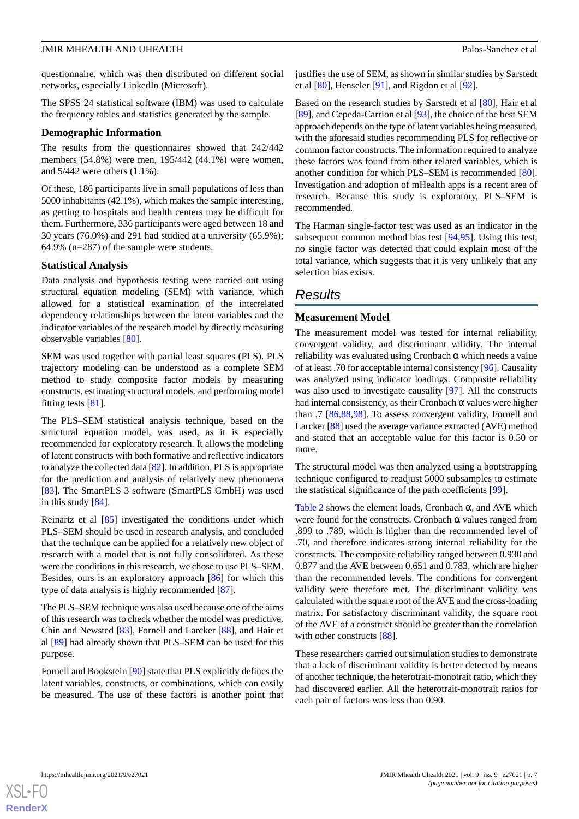questionnaire, which was then distributed on different social networks, especially LinkedIn (Microsoft).

The SPSS 24 statistical software (IBM) was used to calculate the frequency tables and statistics generated by the sample.

### **Demographic Information**

The results from the questionnaires showed that 242/442 members (54.8%) were men, 195/442 (44.1%) were women, and 5/442 were others (1.1%).

Of these, 186 participants live in small populations of less than 5000 inhabitants (42.1%), which makes the sample interesting, as getting to hospitals and health centers may be difficult for them. Furthermore, 336 participants were aged between 18 and 30 years (76.0%) and 291 had studied at a university (65.9%); 64.9% (n=287) of the sample were students.

### **Statistical Analysis**

Data analysis and hypothesis testing were carried out using structural equation modeling (SEM) with variance, which allowed for a statistical examination of the interrelated dependency relationships between the latent variables and the indicator variables of the research model by directly measuring observable variables [[80\]](#page-16-16).

SEM was used together with partial least squares (PLS). PLS trajectory modeling can be understood as a complete SEM method to study composite factor models by measuring constructs, estimating structural models, and performing model fitting tests [[81\]](#page-16-17).

The PLS–SEM statistical analysis technique, based on the structural equation model, was used, as it is especially recommended for exploratory research. It allows the modeling of latent constructs with both formative and reflective indicators to analyze the collected data [\[82\]](#page-16-18). In addition, PLS is appropriate for the prediction and analysis of relatively new phenomena [[83\]](#page-16-19). The SmartPLS 3 software (SmartPLS GmbH) was used in this study [\[84](#page-16-20)].

Reinartz et al [\[85](#page-16-21)] investigated the conditions under which PLS–SEM should be used in research analysis, and concluded that the technique can be applied for a relatively new object of research with a model that is not fully consolidated. As these were the conditions in this research, we chose to use PLS–SEM. Besides, ours is an exploratory approach [[86\]](#page-16-22) for which this type of data analysis is highly recommended [[87\]](#page-16-23).

The PLS–SEM technique was also used because one of the aims of this research was to check whether the model was predictive. Chin and Newsted [\[83](#page-16-19)], Fornell and Larcker [[88\]](#page-16-24), and Hair et al [[89\]](#page-16-25) had already shown that PLS–SEM can be used for this purpose.

Fornell and Bookstein [\[90](#page-16-26)] state that PLS explicitly defines the latent variables, constructs, or combinations, which can easily be measured. The use of these factors is another point that justifies the use of SEM, as shown in similar studies by Sarstedt et al [\[80](#page-16-16)], Henseler [\[91](#page-17-0)], and Rigdon et al [\[92](#page-17-1)].

Based on the research studies by Sarstedt et al [\[80](#page-16-16)], Hair et al [[89\]](#page-16-25), and Cepeda-Carrion et al [\[93](#page-17-2)], the choice of the best SEM approach depends on the type of latent variables being measured, with the aforesaid studies recommending PLS for reflective or common factor constructs. The information required to analyze these factors was found from other related variables, which is another condition for which PLS–SEM is recommended [[80\]](#page-16-16). Investigation and adoption of mHealth apps is a recent area of research. Because this study is exploratory, PLS–SEM is recommended.

The Harman single-factor test was used as an indicator in the subsequent common method bias test [[94,](#page-17-3)[95\]](#page-17-4). Using this test, no single factor was detected that could explain most of the total variance, which suggests that it is very unlikely that any selection bias exists.

# *Results*

# **Measurement Model**

The measurement model was tested for internal reliability, convergent validity, and discriminant validity. The internal reliability was evaluated using Cronbach  $\alpha$  which needs a value of at least .70 for acceptable internal consistency [[96\]](#page-17-5). Causality was analyzed using indicator loadings. Composite reliability was also used to investigate causality [[97\]](#page-17-6). All the constructs had internal consistency, as their Cronbach  $\alpha$  values were higher than .7 [\[86](#page-16-22),[88](#page-16-24)[,98](#page-17-7)]. To assess convergent validity, Fornell and Larcker [[88\]](#page-16-24) used the average variance extracted (AVE) method and stated that an acceptable value for this factor is 0.50 or more.

The structural model was then analyzed using a bootstrapping technique configured to readjust 5000 subsamples to estimate the statistical significance of the path coefficients [[99\]](#page-17-8).

[Table 2](#page-7-0) shows the element loads, Cronbach  $\alpha$ , and AVE which were found for the constructs. Cronbach  $\alpha$  values ranged from .899 to .789, which is higher than the recommended level of .70, and therefore indicates strong internal reliability for the constructs. The composite reliability ranged between 0.930 and 0.877 and the AVE between 0.651 and 0.783, which are higher than the recommended levels. The conditions for convergent validity were therefore met. The discriminant validity was calculated with the square root of the AVE and the cross-loading matrix. For satisfactory discriminant validity, the square root of the AVE of a construct should be greater than the correlation with other constructs [\[88](#page-16-24)].

These researchers carried out simulation studies to demonstrate that a lack of discriminant validity is better detected by means of another technique, the heterotrait-monotrait ratio, which they had discovered earlier. All the heterotrait-monotrait ratios for each pair of factors was less than 0.90.



 $XS$  $\cdot$ FC **[RenderX](http://www.renderx.com/)**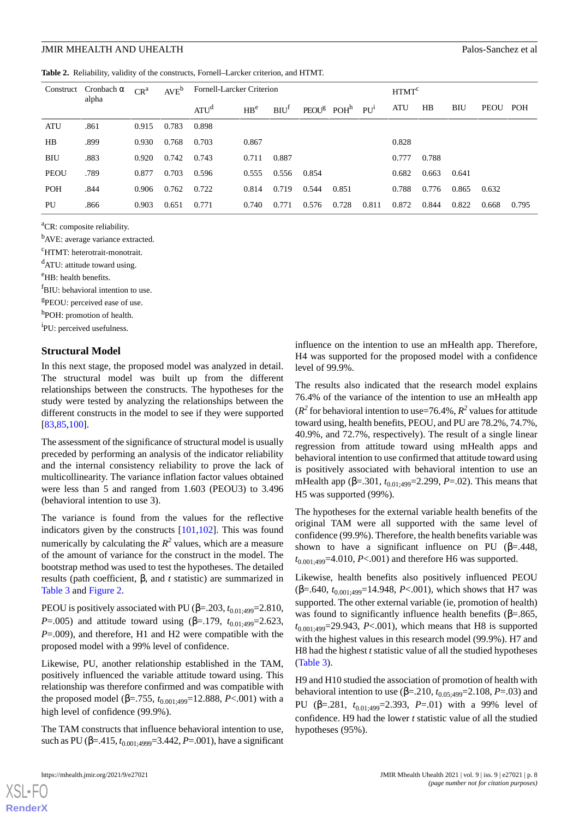<span id="page-7-0"></span>**Table 2.** Reliability, validity of the constructs, Fornell–Larcker criterion, and HTMT.

| Construct   | Cronbach $\alpha$ | $CR^a$ | $AVE^{b}$ |                  | Fornell-Larcker Criterion |                  |       | HTMT <sup>c</sup>                        |       |            |       |       |       |       |
|-------------|-------------------|--------|-----------|------------------|---------------------------|------------------|-------|------------------------------------------|-------|------------|-------|-------|-------|-------|
|             | alpha             |        |           | ATU <sup>d</sup> | H B <sup>e</sup>          | BIO <sup>T</sup> |       | $PEOUg$ POH <sup>h</sup> PU <sup>i</sup> |       | <b>ATU</b> | HB    | BIU   | PEOU  | POH   |
| ATU         | .861              | 0.915  | 0.783     | 0.898            |                           |                  |       |                                          |       |            |       |       |       |       |
| HB          | .899              | 0.930  | 0.768     | 0.703            | 0.867                     |                  |       |                                          |       | 0.828      |       |       |       |       |
| <b>BIU</b>  | .883              | 0.920  | 0.742     | 0.743            | 0.711                     | 0.887            |       |                                          |       | 0.777      | 0.788 |       |       |       |
| <b>PEOU</b> | .789              | 0.877  | 0.703     | 0.596            | 0.555                     | 0.556            | 0.854 |                                          |       | 0.682      | 0.663 | 0.641 |       |       |
| <b>POH</b>  | .844              | 0.906  | 0.762     | 0.722            | 0.814                     | 0.719            | 0.544 | 0.851                                    |       | 0.788      | 0.776 | 0.865 | 0.632 |       |
| PU          | .866              | 0.903  | 0.651     | 0.771            | 0.740                     | 0.771            | 0.576 | 0.728                                    | 0.811 | 0.872      | 0.844 | 0.822 | 0.668 | 0.795 |

<sup>a</sup>CR: composite reliability.

<sup>b</sup>AVE: average variance extracted.

<sup>c</sup>HTMT: heterotrait-monotrait.

<sup>d</sup>ATU: attitude toward using.

<sup>e</sup>HB: health benefits.

<sup>f</sup>BIU: behavioral intention to use.

<sup>g</sup>PEOU: perceived ease of use.

h<sub>POH: promotion of health.</sub>

i PU: perceived usefulness.

### **Structural Model**

In this next stage, the proposed model was analyzed in detail. The structural model was built up from the different relationships between the constructs. The hypotheses for the study were tested by analyzing the relationships between the different constructs in the model to see if they were supported [[83](#page-16-19)[,85](#page-16-21),[100\]](#page-17-9).

The assessment of the significance of structural model is usually preceded by performing an analysis of the indicator reliability and the internal consistency reliability to prove the lack of multicollinearity. The variance inflation factor values obtained were less than 5 and ranged from 1.603 (PEOU3) to 3.496 (behavioral intention to use 3).

The variance is found from the values for the reflective indicators given by the constructs [[101,](#page-17-10)[102](#page-17-11)]. This was found numerically by calculating the  $R^2$  values, which are a measure of the amount of variance for the construct in the model. The bootstrap method was used to test the hypotheses. The detailed results (path coefficient, β, and *t* statistic) are summarized in [Table 3](#page-8-0) and [Figure 2](#page-8-1).

PEOU is positively associated with PU (β=.203,  $t_{0.01;499}=2.810$ , *P*=.005) and attitude toward using (β=.179,  $t_{0.01:499}$ =2.623, *P*=.009), and therefore, H1 and H2 were compatible with the proposed model with a 99% level of confidence.

Likewise, PU, another relationship established in the TAM, positively influenced the variable attitude toward using. This relationship was therefore confirmed and was compatible with the proposed model (β=.755,  $t_{0.001:499}$ =12.888, *P*<.001) with a high level of confidence (99.9%).

The TAM constructs that influence behavioral intention to use, such as PU ( $\beta$ =.415,  $t_{0.001:4999}$ =3.442, *P*=.001), have a significant

influence on the intention to use an mHealth app. Therefore, H4 was supported for the proposed model with a confidence level of 99.9%.

The results also indicated that the research model explains 76.4% of the variance of the intention to use an mHealth app ( $R^2$  for behavioral intention to use=76.4%,  $R^2$  values for attitude toward using, health benefits, PEOU, and PU are 78.2%, 74.7%, 40.9%, and 72.7%, respectively). The result of a single linear regression from attitude toward using mHealth apps and behavioral intention to use confirmed that attitude toward using is positively associated with behavioral intention to use an mHealth app (β=.301,  $t_{0.01:499}$ =2.299, *P*=.02). This means that H5 was supported (99%).

The hypotheses for the external variable health benefits of the original TAM were all supported with the same level of confidence (99.9%). Therefore, the health benefits variable was shown to have a significant influence on PU ( $\beta$ =.448,  $t_{0.001:499}$ =4.010, *P*<.001) and therefore H6 was supported.

Likewise, health benefits also positively influenced PEOU  $(\beta = .640, t_{0.001:499} = 14.948, P < .001)$ , which shows that H7 was supported. The other external variable (ie, promotion of health) was found to significantly influence health benefits ( $\beta = .865$ , *t*0.001;499=29.943, *P*<.001), which means that H8 is supported with the highest values in this research model (99.9%). H7 and H8 had the highest *t* statistic value of all the studied hypotheses ([Table 3](#page-8-0)).

H9 and H10 studied the association of promotion of health with behavioral intention to use ( $\beta$ =.210,  $t_{0.05:499}$ =2.108, *P*=.03) and PU ( $\beta$ =.281,  $t_{0.01:499}$ =2.393, *P*=.01) with a 99% level of confidence. H9 had the lower *t* statistic value of all the studied hypotheses (95%).

 $XS$ -FO **[RenderX](http://www.renderx.com/)**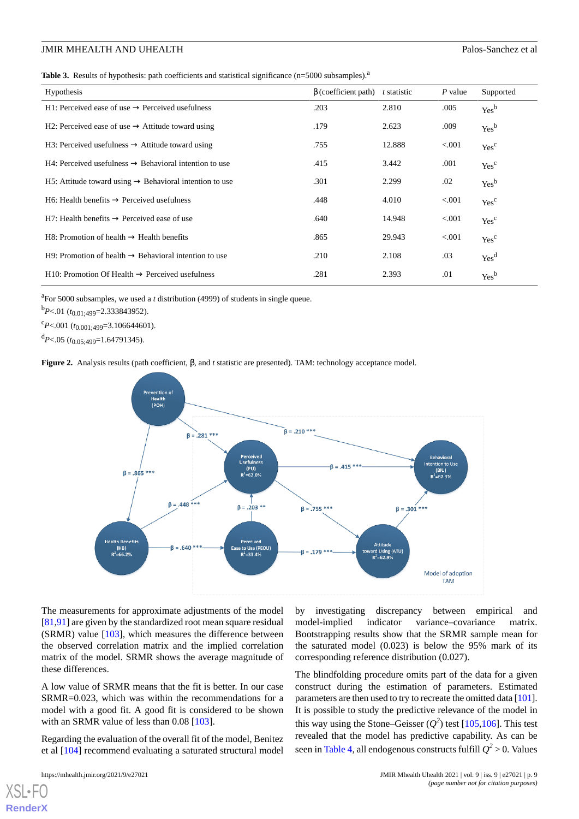<span id="page-8-0"></span>**Table 3.** Results of hypothesis: path coefficients and statistical significance (n=5000 subsamples).<sup>a</sup>

| Hypothesis                                                           | $\beta$ (coefficient path) | t statistic | P value | Supported        |
|----------------------------------------------------------------------|----------------------------|-------------|---------|------------------|
| H1: Perceived ease of use $\rightarrow$ Perceived usefulness         | .203                       | 2.810       | .005    | Yes <sup>b</sup> |
| H2: Perceived ease of use $\rightarrow$ Attitude toward using        | .179                       | 2.623       | .009    | Yes <sup>b</sup> |
| H3: Perceived usefulness $\rightarrow$ Attitude toward using         | .755                       | 12.888      | < 0.001 | Yes <sup>c</sup> |
| H4: Perceived usefulness $\rightarrow$ Behavioral intention to use   | .415                       | 3.442       | .001    | Yes <sup>c</sup> |
| H5: Attitude toward using $\rightarrow$ Behavioral intention to use  | .301                       | 2.299       | .02     | Yes <sup>b</sup> |
| $H6$ : Health benefits $\rightarrow$ Perceived usefulness            | .448                       | 4.010       | < 0.001 | Yes <sup>c</sup> |
| H7: Health benefits $\rightarrow$ Perceived ease of use              | .640                       | 14.948      | < 0.001 | Yes <sup>c</sup> |
| H8: Promotion of health $\rightarrow$ Health benefits                | .865                       | 29.943      | < 0.001 | Yes <sup>c</sup> |
| $H9$ : Promotion of health $\rightarrow$ Behavioral intention to use | .210                       | 2.108       | .03     | Yes <sup>d</sup> |
| $H10$ : Promotion Of Health $\rightarrow$ Perceived usefulness       | .281                       | 2.393       | .01     | Yes <sup>b</sup> |
|                                                                      |                            |             |         |                  |

<sup>a</sup>For 5000 subsamples, we used a *t* distribution (4999) of students in single queue.

<sup>b</sup>*P*<.01 (*t*0.01;499=2.333843952).

<span id="page-8-1"></span> $c_{P<.001}$  ( $t_{0.001:499}$ =3.106644601).

<sup>d</sup>*P*<.05 (*t*0.05;499=1.64791345).

**Figure 2.** Analysis results (path coefficient, β, and *t* statistic are presented). TAM: technology acceptance model.



The measurements for approximate adjustments of the model [[81](#page-16-17)[,91](#page-17-0)] are given by the standardized root mean square residual (SRMR) value [[103\]](#page-17-12), which measures the difference between the observed correlation matrix and the implied correlation matrix of the model. SRMR shows the average magnitude of these differences.

A low value of SRMR means that the fit is better. In our case SRMR=0.023, which was within the recommendations for a model with a good fit. A good fit is considered to be shown with an SRMR value of less than 0.08 [\[103](#page-17-12)].

Regarding the evaluation of the overall fit of the model, Benitez et al [[104\]](#page-17-13) recommend evaluating a saturated structural model

by investigating discrepancy between empirical and model-implied indicator variance–covariance matrix. Bootstrapping results show that the SRMR sample mean for the saturated model (0.023) is below the 95% mark of its corresponding reference distribution (0.027).

The blindfolding procedure omits part of the data for a given construct during the estimation of parameters. Estimated parameters are then used to try to recreate the omitted data [\[101](#page-17-10)]. It is possible to study the predictive relevance of the model in this way using the Stone–Geisser  $(Q^2)$  test [[105](#page-17-14)[,106](#page-17-15)]. This test revealed that the model has predictive capability. As can be seen in [Table 4](#page-9-0), all endogenous constructs fulfill  $Q^2$  > 0. Values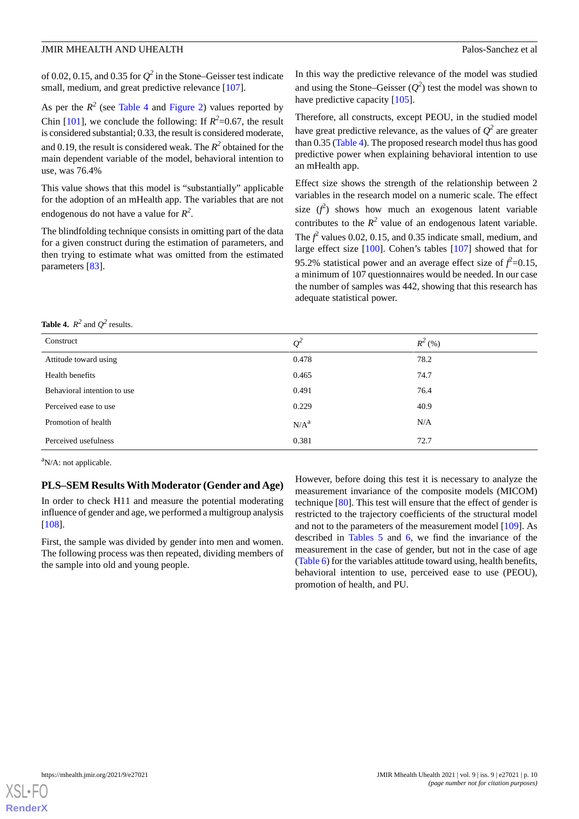of 0.02, 0.15, and 0.35 for  $Q^2$  in the Stone–Geisser test indicate small, medium, and great predictive relevance [\[107](#page-17-16)].

As per the  $R^2$  (see [Table 4](#page-9-0) and [Figure 2\)](#page-8-1) values reported by Chin [\[101](#page-17-10)], we conclude the following: If  $R^2 = 0.67$ , the result is considered substantial; 0.33, the result is considered moderate, and 0.19, the result is considered weak. The  $R^2$  obtained for the main dependent variable of the model, behavioral intention to use, was 76.4%

This value shows that this model is "substantially" applicable for the adoption of an mHealth app. The variables that are not endogenous do not have a value for *R 2* .

The blindfolding technique consists in omitting part of the data for a given construct during the estimation of parameters, and then trying to estimate what was omitted from the estimated parameters [\[83](#page-16-19)].

In this way the predictive relevance of the model was studied and using the Stone–Geisser  $(Q^2)$  test the model was shown to have predictive capacity [[105\]](#page-17-14).

Therefore, all constructs, except PEOU, in the studied model have great predictive relevance, as the values of  $Q^2$  are greater than 0.35 [\(Table 4\)](#page-9-0). The proposed research model thus has good predictive power when explaining behavioral intention to use an mHealth app.

Effect size shows the strength of the relationship between 2 variables in the research model on a numeric scale. The effect size  $(f^2)$  shows how much an exogenous latent variable contributes to the  $R^2$  value of an endogenous latent variable. The  $f^2$  values 0.02, 0.15, and 0.35 indicate small, medium, and large effect size [[100\]](#page-17-9). Cohen's tables [[107\]](#page-17-16) showed that for 95.2% statistical power and an average effect size of  $f^2$ =0.15, a minimum of 107 questionnaires would be needed. In our case the number of samples was 442, showing that this research has adequate statistical power.

<span id="page-9-0"></span>**Table 4.**  $R^2$  and  $Q^2$  results.

| Construct                   | $Q^2$            | $R^2(%)$ |
|-----------------------------|------------------|----------|
| Attitude toward using       | 0.478            | 78.2     |
| Health benefits             | 0.465            | 74.7     |
| Behavioral intention to use | 0.491            | 76.4     |
| Perceived ease to use       | 0.229            | 40.9     |
| Promotion of health         | N/A <sup>a</sup> | N/A      |
| Perceived usefulness        | 0.381            | 72.7     |

 ${}^{a}$ N/A: not applicable.

# **PLS–SEM Results With Moderator (Gender and Age)**

In order to check H11 and measure the potential moderating influence of gender and age, we performed a multigroup analysis [[108\]](#page-17-17).

First, the sample was divided by gender into men and women. The following process was then repeated, dividing members of the sample into old and young people.

However, before doing this test it is necessary to analyze the measurement invariance of the composite models (MICOM) technique [\[80](#page-16-16)]. This test will ensure that the effect of gender is restricted to the trajectory coefficients of the structural model and not to the parameters of the measurement model [\[109](#page-17-18)]. As described in [Tables 5](#page-10-0) and [6](#page-10-1), we find the invariance of the measurement in the case of gender, but not in the case of age ([Table 6\)](#page-10-1) for the variables attitude toward using, health benefits, behavioral intention to use, perceived ease to use (PEOU), promotion of health, and PU.

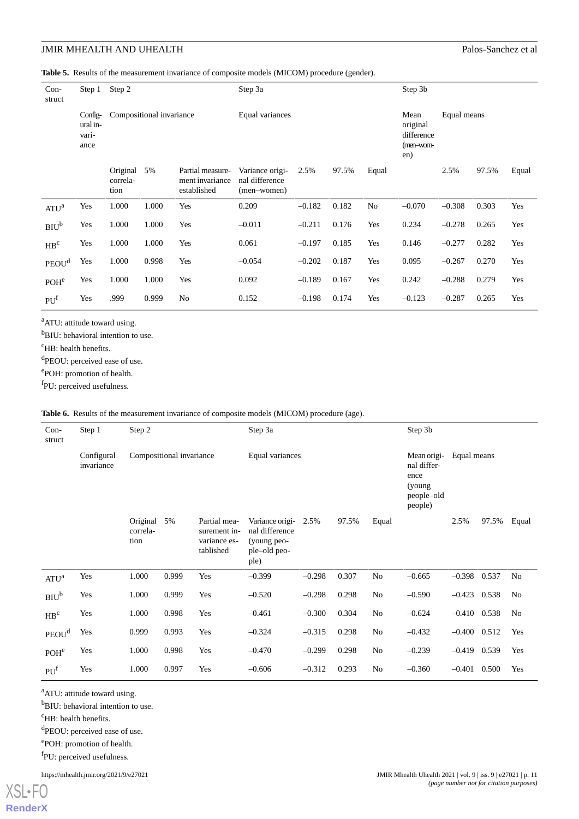<span id="page-10-0"></span>**Table 5.** Results of the measurement invariance of composite models (MICOM) procedure (gender).

| $Con-$<br>struct  | Step 1                               | Step 2                       |       |                                                    | Step 3a                                          | Step 3b                                            |             |       |          |          |       |       |
|-------------------|--------------------------------------|------------------------------|-------|----------------------------------------------------|--------------------------------------------------|----------------------------------------------------|-------------|-------|----------|----------|-------|-------|
|                   | Config-<br>ural in-<br>vari-<br>ance | Compositional invariance     |       |                                                    | Equal variances                                  | Mean<br>original<br>difference<br>(men-wom-<br>en) | Equal means |       |          |          |       |       |
|                   |                                      | Original<br>correla-<br>tion | 5%    | Partial measure-<br>ment invariance<br>established | Variance origi-<br>nal difference<br>(men-women) | 2.5%                                               | 97.5%       | Equal |          | 2.5%     | 97.5% | Equal |
| ATU <sup>a</sup>  | Yes                                  | 1.000                        | 1.000 | Yes                                                | 0.209                                            | $-0.182$                                           | 0.182       | No    | $-0.070$ | $-0.308$ | 0.303 | Yes   |
| BIO <sup>b</sup>  | Yes                                  | 1.000                        | 1.000 | Yes                                                | $-0.011$                                         | $-0.211$                                           | 0.176       | Yes   | 0.234    | $-0.278$ | 0.265 | Yes   |
| $\rm{HB}^c$       | Yes                                  | 1.000                        | 1.000 | Yes                                                | 0.061                                            | $-0.197$                                           | 0.185       | Yes   | 0.146    | $-0.277$ | 0.282 | Yes   |
| PEOU <sup>d</sup> | Yes                                  | 1.000                        | 0.998 | Yes                                                | $-0.054$                                         | $-0.202$                                           | 0.187       | Yes   | 0.095    | $-0.267$ | 0.270 | Yes   |
| POH <sup>e</sup>  | Yes                                  | 1.000                        | 1.000 | Yes                                                | 0.092                                            | $-0.189$                                           | 0.167       | Yes   | 0.242    | $-0.288$ | 0.279 | Yes   |
| PU <sup>f</sup>   | Yes                                  | .999                         | 0.999 | No                                                 | 0.152                                            | $-0.198$                                           | 0.174       | Yes   | $-0.123$ | $-0.287$ | 0.265 | Yes   |

<sup>a</sup>ATU: attitude toward using.

<sup>b</sup>BIU: behavioral intention to use.

<sup>c</sup>HB: health benefits.

<sup>d</sup>PEOU: perceived ease of use.

<span id="page-10-1"></span>e POH: promotion of health.

f<sub>PU</sub>: perceived usefulness.

**Table 6.** Results of the measurement invariance of composite models (MICOM) procedure (age).

| $Con-$<br>struct  | Step 1                   | Step 2                       |       |                                                           | Step 3a                                                                  |          |       |                | Step 3b                                                                |             |       |       |
|-------------------|--------------------------|------------------------------|-------|-----------------------------------------------------------|--------------------------------------------------------------------------|----------|-------|----------------|------------------------------------------------------------------------|-------------|-------|-------|
|                   | Configural<br>invariance | Compositional invariance     |       |                                                           | Equal variances                                                          |          |       |                | Mean origi-<br>nal differ-<br>ence<br>(young)<br>people-old<br>people) | Equal means |       |       |
|                   |                          | Original<br>correla-<br>tion | 5%    | Partial mea-<br>surement in-<br>variance es-<br>tablished | Variance origi-<br>nal difference<br>(young peo-<br>ple-old peo-<br>ple) | 2.5%     | 97.5% | Equal          |                                                                        | 2.5%        | 97.5% | Equal |
| $ATU^a$           | Yes                      | 1.000                        | 0.999 | Yes                                                       | $-0.399$                                                                 | $-0.298$ | 0.307 | No             | $-0.665$                                                               | $-0.398$    | 0.537 | No    |
| BIO <sup>b</sup>  | Yes                      | 1.000                        | 0.999 | Yes                                                       | $-0.520$                                                                 | $-0.298$ | 0.298 | No             | $-0.590$                                                               | $-0.423$    | 0.538 | No    |
| HB <sup>c</sup>   | Yes                      | 1.000                        | 0.998 | Yes                                                       | $-0.461$                                                                 | $-0.300$ | 0.304 | No             | $-0.624$                                                               | $-0.410$    | 0.538 | No    |
| PEOU <sup>d</sup> | Yes                      | 0.999                        | 0.993 | Yes                                                       | $-0.324$                                                                 | $-0.315$ | 0.298 | N <sub>0</sub> | $-0.432$                                                               | $-0.400$    | 0.512 | Yes   |
| POH <sup>e</sup>  | Yes                      | 1.000                        | 0.998 | Yes                                                       | $-0.470$                                                                 | $-0.299$ | 0.298 | No             | $-0.239$                                                               | $-0.419$    | 0.539 | Yes   |
| PU <sup>f</sup>   | Yes                      | 1.000                        | 0.997 | Yes                                                       | $-0.606$                                                                 | $-0.312$ | 0.293 | No             | $-0.360$                                                               | $-0.401$    | 0.500 | Yes   |

<sup>a</sup>ATU: attitude toward using.

<sup>b</sup>BIU: behavioral intention to use.

<sup>c</sup>HB: health benefits.

<sup>d</sup>PEOU: perceived ease of use.

e POH: promotion of health.

f<sub>PU</sub>: perceived usefulness.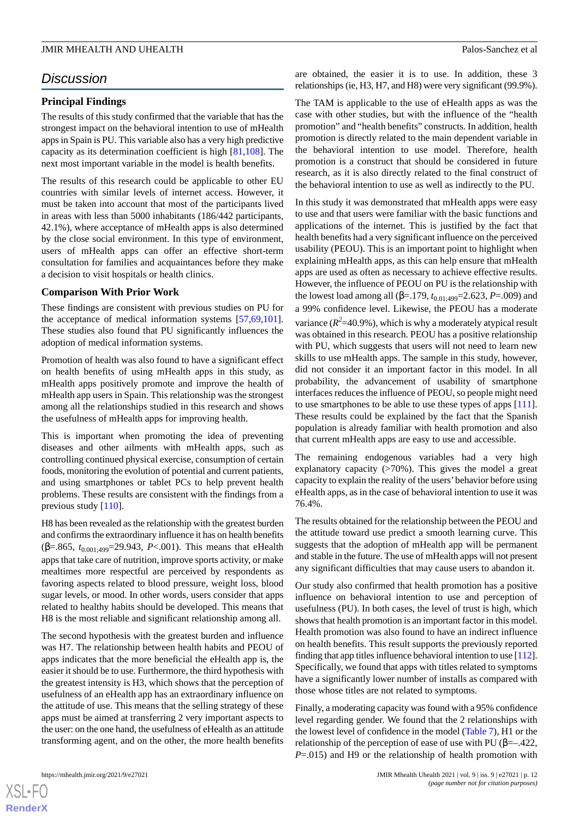# *Discussion*

# **Principal Findings**

The results of this study confirmed that the variable that has the strongest impact on the behavioral intention to use of mHealth apps in Spain is PU. This variable also has a very high predictive capacity as its determination coefficient is high [[81](#page-16-17)[,108](#page-17-17)]. The next most important variable in the model is health benefits.

The results of this research could be applicable to other EU countries with similar levels of internet access. However, it must be taken into account that most of the participants lived in areas with less than 5000 inhabitants (186/442 participants, 42.1%), where acceptance of mHealth apps is also determined by the close social environment. In this type of environment, users of mHealth apps can offer an effective short-term consultation for families and acquaintances before they make a decision to visit hospitals or health clinics.

# **Comparison With Prior Work**

These findings are consistent with previous studies on PU for the acceptance of medical information systems [[57](#page-15-18)[,69](#page-16-5),[101\]](#page-17-10). These studies also found that PU significantly influences the adoption of medical information systems.

Promotion of health was also found to have a significant effect on health benefits of using mHealth apps in this study, as mHealth apps positively promote and improve the health of mHealth app users in Spain. This relationship was the strongest among all the relationships studied in this research and shows the usefulness of mHealth apps for improving health.

This is important when promoting the idea of preventing diseases and other ailments with mHealth apps, such as controlling continued physical exercise, consumption of certain foods, monitoring the evolution of potential and current patients, and using smartphones or tablet PCs to help prevent health problems. These results are consistent with the findings from a previous study [[110\]](#page-17-19).

H8 has been revealed as the relationship with the greatest burden and confirms the extraordinary influence it has on health benefits (β=.865, *t*0.001;499=29.943, *P*<.001). This means that eHealth apps that take care of nutrition, improve sports activity, or make mealtimes more respectful are perceived by respondents as favoring aspects related to blood pressure, weight loss, blood sugar levels, or mood. In other words, users consider that apps related to healthy habits should be developed. This means that H8 is the most reliable and significant relationship among all.

The second hypothesis with the greatest burden and influence was H7. The relationship between health habits and PEOU of apps indicates that the more beneficial the eHealth app is, the easier it should be to use. Furthermore, the third hypothesis with the greatest intensity is H3, which shows that the perception of usefulness of an eHealth app has an extraordinary influence on the attitude of use. This means that the selling strategy of these apps must be aimed at transferring 2 very important aspects to the user: on the one hand, the usefulness of eHealth as an attitude transforming agent, and on the other, the more health benefits are obtained, the easier it is to use. In addition, these 3 relationships (ie, H3, H7, and H8) were very significant (99.9%).

The TAM is applicable to the use of eHealth apps as was the case with other studies, but with the influence of the "health promotion" and "health benefits" constructs. In addition, health promotion is directly related to the main dependent variable in the behavioral intention to use model. Therefore, health promotion is a construct that should be considered in future research, as it is also directly related to the final construct of the behavioral intention to use as well as indirectly to the PU.

In this study it was demonstrated that mHealth apps were easy to use and that users were familiar with the basic functions and applications of the internet. This is justified by the fact that health benefits had a very significant influence on the perceived usability (PEOU). This is an important point to highlight when explaining mHealth apps, as this can help ensure that mHealth apps are used as often as necessary to achieve effective results. However, the influence of PEOU on PU is the relationship with the lowest load among all ( $\beta$ =.179,  $t_{0.01;499}$ =2.623, *P*=.009) and a 99% confidence level. Likewise, the PEOU has a moderate variance  $(R^2=40.9\%)$ , which is why a moderately atypical result was obtained in this research. PEOU has a positive relationship with PU, which suggests that users will not need to learn new skills to use mHealth apps. The sample in this study, however, did not consider it an important factor in this model. In all probability, the advancement of usability of smartphone interfaces reduces the influence of PEOU, so people might need to use smartphones to be able to use these types of apps [[111\]](#page-17-20). These results could be explained by the fact that the Spanish population is already familiar with health promotion and also that current mHealth apps are easy to use and accessible.

The remaining endogenous variables had a very high explanatory capacity  $($ >70%). This gives the model a great capacity to explain the reality of the users'behavior before using eHealth apps, as in the case of behavioral intention to use it was 76.4%.

The results obtained for the relationship between the PEOU and the attitude toward use predict a smooth learning curve. This suggests that the adoption of mHealth app will be permanent and stable in the future. The use of mHealth apps will not present any significant difficulties that may cause users to abandon it.

Our study also confirmed that health promotion has a positive influence on behavioral intention to use and perception of usefulness (PU). In both cases, the level of trust is high, which shows that health promotion is an important factor in this model. Health promotion was also found to have an indirect influence on health benefits. This result supports the previously reported finding that app titles influence behavioral intention to use [\[112](#page-17-21)]. Specifically, we found that apps with titles related to symptoms have a significantly lower number of installs as compared with those whose titles are not related to symptoms.

Finally, a moderating capacity was found with a 95% confidence level regarding gender. We found that the 2 relationships with the lowest level of confidence in the model [\(Table 7\)](#page-12-0), H1 or the relationship of the perception of ease of use with PU ( $\beta = -422$ , *P*=.015) and H9 or the relationship of health promotion with

 $XS$  $\cdot$ FC **[RenderX](http://www.renderx.com/)**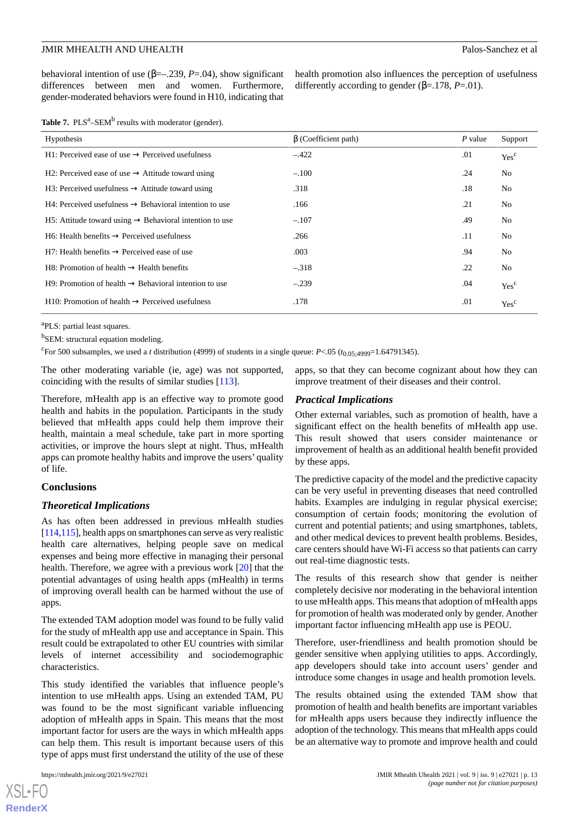behavioral intention of use ( $\beta = -239$ ,  $P = .04$ ), show significant differences between men and women. Furthermore, gender-moderated behaviors were found in H10, indicating that health promotion also influences the perception of usefulness differently according to gender (β=.178, *P*=.01).

<span id="page-12-0"></span>

| Table 7. $PLS^a$ -SEM <sup>b</sup> results with moderator (gender). |  |  |  |
|---------------------------------------------------------------------|--|--|--|
|---------------------------------------------------------------------|--|--|--|

| Hypothesis                                                            | $\beta$ (Coefficient path) | P value | Support          |
|-----------------------------------------------------------------------|----------------------------|---------|------------------|
| $H1$ : Perceived ease of use $\rightarrow$ Perceived usefulness       | $-.422$                    | .01     | Yes <sup>c</sup> |
| H2: Perceived ease of use $\rightarrow$ Attitude toward using         | $-.100$                    | .24     | N <sub>0</sub>   |
| H3: Perceived usefulness $\rightarrow$ Attitude toward using          | .318                       | .18     | No.              |
| $H4$ : Perceived usefulness $\rightarrow$ Behavioral intention to use | .166                       | .21     | No.              |
| H5: Attitude toward using $\rightarrow$ Behavioral intention to use   | $-.107$                    | .49     | No.              |
| $H6$ : Health benefits $\rightarrow$ Perceived usefulness             | .266                       | .11     | N <sub>0</sub>   |
| $H7$ : Health benefits $\rightarrow$ Perceived ease of use            | .003                       | .94     | N <sub>0</sub>   |
| $H8$ : Promotion of health $\rightarrow$ Health benefits              | $-.318$                    | .22     | No               |
| $H9$ : Promotion of health $\rightarrow$ Behavioral intention to use  | $-.239$                    | .04     | Yes <sup>c</sup> |
| H10: Promotion of health $\rightarrow$ Perceived usefulness           | .178                       | .01     | Yes <sup>c</sup> |

<sup>a</sup>PLS: partial least squares.

<sup>b</sup>SEM: structural equation modeling.

<sup>c</sup>For 500 subsamples, we used a *t* distribution (4999) of students in a single queue:  $P < .05$  ( $t_{0.05;4999} = 1.64791345$ ).

The other moderating variable (ie, age) was not supported, coinciding with the results of similar studies [[113\]](#page-17-22).

Therefore, mHealth app is an effective way to promote good health and habits in the population. Participants in the study believed that mHealth apps could help them improve their health, maintain a meal schedule, take part in more sporting activities, or improve the hours slept at night. Thus, mHealth apps can promote healthy habits and improve the users' quality of life.

# **Conclusions**

### *Theoretical Implications*

As has often been addressed in previous mHealth studies [[114](#page-17-23),[115\]](#page-17-24), health apps on smartphones can serve as very realistic health care alternatives, helping people save on medical expenses and being more effective in managing their personal health. Therefore, we agree with a previous work [[20\]](#page-14-7) that the potential advantages of using health apps (mHealth) in terms of improving overall health can be harmed without the use of apps.

The extended TAM adoption model was found to be fully valid for the study of mHealth app use and acceptance in Spain. This result could be extrapolated to other EU countries with similar levels of internet accessibility and sociodemographic characteristics.

This study identified the variables that influence people's intention to use mHealth apps. Using an extended TAM, PU was found to be the most significant variable influencing adoption of mHealth apps in Spain. This means that the most important factor for users are the ways in which mHealth apps can help them. This result is important because users of this type of apps must first understand the utility of the use of these

 $XS$  $\cdot$ FC **[RenderX](http://www.renderx.com/)** apps, so that they can become cognizant about how they can improve treatment of their diseases and their control.

### *Practical Implications*

Other external variables, such as promotion of health, have a significant effect on the health benefits of mHealth app use. This result showed that users consider maintenance or improvement of health as an additional health benefit provided by these apps.

The predictive capacity of the model and the predictive capacity can be very useful in preventing diseases that need controlled habits. Examples are indulging in regular physical exercise; consumption of certain foods; monitoring the evolution of current and potential patients; and using smartphones, tablets, and other medical devices to prevent health problems. Besides, care centers should have Wi-Fi access so that patients can carry out real-time diagnostic tests.

The results of this research show that gender is neither completely decisive nor moderating in the behavioral intention to use mHealth apps. This means that adoption of mHealth apps for promotion of health was moderated only by gender. Another important factor influencing mHealth app use is PEOU.

Therefore, user-friendliness and health promotion should be gender sensitive when applying utilities to apps. Accordingly, app developers should take into account users' gender and introduce some changes in usage and health promotion levels.

The results obtained using the extended TAM show that promotion of health and health benefits are important variables for mHealth apps users because they indirectly influence the adoption of the technology. This means that mHealth apps could be an alternative way to promote and improve health and could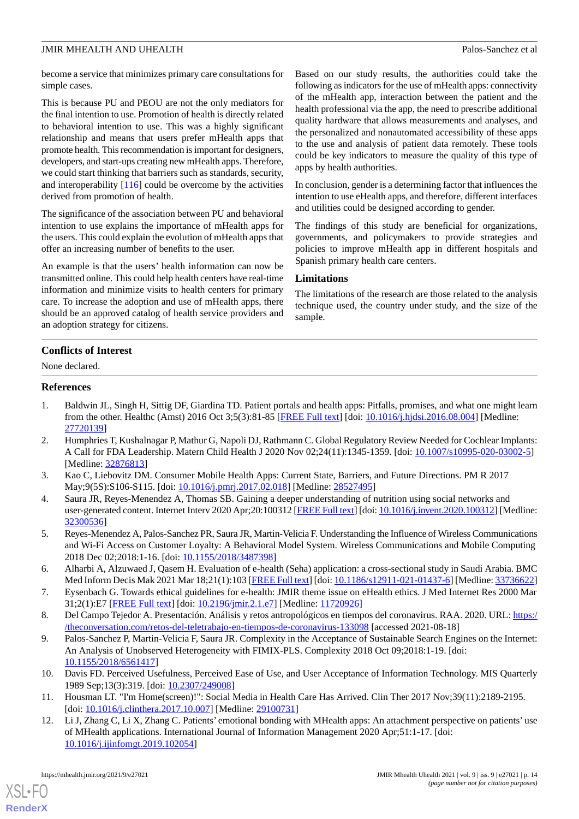become a service that minimizes primary care consultations for simple cases.

This is because PU and PEOU are not the only mediators for the final intention to use. Promotion of health is directly related to behavioral intention to use. This was a highly significant relationship and means that users prefer mHealth apps that promote health. This recommendation is important for designers, developers, and start-ups creating new mHealth apps. Therefore, we could start thinking that barriers such as standards, security, and interoperability [[116\]](#page-17-25) could be overcome by the activities derived from promotion of health.

The significance of the association between PU and behavioral intention to use explains the importance of mHealth apps for the users. This could explain the evolution of mHealth apps that offer an increasing number of benefits to the user.

An example is that the users' health information can now be transmitted online. This could help health centers have real-time information and minimize visits to health centers for primary care. To increase the adoption and use of mHealth apps, there should be an approved catalog of health service providers and an adoption strategy for citizens.

Based on our study results, the authorities could take the following as indicators for the use of mHealth apps: connectivity of the mHealth app, interaction between the patient and the health professional via the app, the need to prescribe additional quality hardware that allows measurements and analyses, and the personalized and nonautomated accessibility of these apps to the use and analysis of patient data remotely. These tools could be key indicators to measure the quality of this type of apps by health authorities.

In conclusion, gender is a determining factor that influences the intention to use eHealth apps, and therefore, different interfaces and utilities could be designed according to gender.

The findings of this study are beneficial for organizations, governments, and policymakers to provide strategies and policies to improve mHealth app in different hospitals and Spanish primary health care centers.

### **Limitations**

The limitations of the research are those related to the analysis technique used, the country under study, and the size of the sample.

# **Conflicts of Interest**

<span id="page-13-0"></span>None declared.

### <span id="page-13-1"></span>**References**

- 1. Baldwin JL, Singh H, Sittig DF, Giardina TD. Patient portals and health apps: Pitfalls, promises, and what one might learn from the other. Healthc (Amst) 2016 Oct 3;5(3):81-85 [\[FREE Full text\]](http://linkinghub.elsevier.com/retrieve/pii/S2213-0764(16)30012-4) [doi: [10.1016/j.hjdsi.2016.08.004\]](http://dx.doi.org/10.1016/j.hjdsi.2016.08.004) [Medline: [27720139](http://www.ncbi.nlm.nih.gov/entrez/query.fcgi?cmd=Retrieve&db=PubMed&list_uids=27720139&dopt=Abstract)]
- <span id="page-13-3"></span><span id="page-13-2"></span>2. Humphries T, Kushalnagar P, Mathur G, Napoli DJ, Rathmann C. Global Regulatory Review Needed for Cochlear Implants: A Call for FDA Leadership. Matern Child Health J 2020 Nov 02;24(11):1345-1359. [doi: [10.1007/s10995-020-03002-5\]](http://dx.doi.org/10.1007/s10995-020-03002-5) [Medline: [32876813](http://www.ncbi.nlm.nih.gov/entrez/query.fcgi?cmd=Retrieve&db=PubMed&list_uids=32876813&dopt=Abstract)]
- <span id="page-13-4"></span>3. Kao C, Liebovitz DM. Consumer Mobile Health Apps: Current State, Barriers, and Future Directions. PM R 2017 May;9(5S):S106-S115. [doi: [10.1016/j.pmrj.2017.02.018](http://dx.doi.org/10.1016/j.pmrj.2017.02.018)] [Medline: [28527495](http://www.ncbi.nlm.nih.gov/entrez/query.fcgi?cmd=Retrieve&db=PubMed&list_uids=28527495&dopt=Abstract)]
- <span id="page-13-5"></span>4. Saura JR, Reyes-Menendez A, Thomas SB. Gaining a deeper understanding of nutrition using social networks and user-generated content. Internet Interv 2020 Apr;20:100312 [\[FREE Full text](https://linkinghub.elsevier.com/retrieve/pii/S2214-7829(19)30036-3)] [doi: [10.1016/j.invent.2020.100312](http://dx.doi.org/10.1016/j.invent.2020.100312)] [Medline: [32300536](http://www.ncbi.nlm.nih.gov/entrez/query.fcgi?cmd=Retrieve&db=PubMed&list_uids=32300536&dopt=Abstract)]
- <span id="page-13-6"></span>5. Reyes-Menendez A, Palos-Sanchez PR, Saura JR, Martin-Velicia F. Understanding the Influence of Wireless Communications and Wi-Fi Access on Customer Loyalty: A Behavioral Model System. Wireless Communications and Mobile Computing 2018 Dec 02;2018:1-16. [doi: [10.1155/2018/3487398\]](http://dx.doi.org/10.1155/2018/3487398)
- <span id="page-13-8"></span><span id="page-13-7"></span>6. Alharbi A, Alzuwaed J, Qasem H. Evaluation of e-health (Seha) application: a cross-sectional study in Saudi Arabia. BMC Med Inform Decis Mak 2021 Mar 18;21(1):103 [[FREE Full text\]](https://bmcmedinformdecismak.biomedcentral.com/articles/10.1186/s12911-021-01437-6) [doi: [10.1186/s12911-021-01437-6\]](http://dx.doi.org/10.1186/s12911-021-01437-6) [Medline: [33736622](http://www.ncbi.nlm.nih.gov/entrez/query.fcgi?cmd=Retrieve&db=PubMed&list_uids=33736622&dopt=Abstract)]
- 7. Eysenbach G. Towards ethical guidelines for e-health: JMIR theme issue on eHealth ethics. J Med Internet Res 2000 Mar 31;2(1):E7 [[FREE Full text](https://www.jmir.org/2000/1/e7/)] [doi: [10.2196/jmir.2.1.e7\]](http://dx.doi.org/10.2196/jmir.2.1.e7) [Medline: [11720926](http://www.ncbi.nlm.nih.gov/entrez/query.fcgi?cmd=Retrieve&db=PubMed&list_uids=11720926&dopt=Abstract)]
- <span id="page-13-9"></span>8. Del Campo Tejedor A. Presentación. Análisis y retos antropológicos en tiempos del coronavirus. RAA. 2020. URL: [https:/](https://theconversation.com/retos-del-teletrabajo-en-tiempos-de-coronavirus-133098) [/theconversation.com/retos-del-teletrabajo-en-tiempos-de-coronavirus-133098](https://theconversation.com/retos-del-teletrabajo-en-tiempos-de-coronavirus-133098) [accessed 2021-08-18]
- <span id="page-13-11"></span><span id="page-13-10"></span>9. Palos-Sanchez P, Martin-Velicia F, Saura JR. Complexity in the Acceptance of Sustainable Search Engines on the Internet: An Analysis of Unobserved Heterogeneity with FIMIX-PLS. Complexity 2018 Oct 09;2018:1-19. [doi: [10.1155/2018/6561417\]](http://dx.doi.org/10.1155/2018/6561417)
- 10. Davis FD. Perceived Usefulness, Perceived Ease of Use, and User Acceptance of Information Technology. MIS Quarterly 1989 Sep;13(3):319. [doi: [10.2307/249008\]](http://dx.doi.org/10.2307/249008)
- 11. Housman LT. "I'm Home(screen)!": Social Media in Health Care Has Arrived. Clin Ther 2017 Nov;39(11):2189-2195. [doi: [10.1016/j.clinthera.2017.10.007\]](http://dx.doi.org/10.1016/j.clinthera.2017.10.007) [Medline: [29100731\]](http://www.ncbi.nlm.nih.gov/entrez/query.fcgi?cmd=Retrieve&db=PubMed&list_uids=29100731&dopt=Abstract)
- 12. Li J, Zhang C, Li X, Zhang C. Patients' emotional bonding with MHealth apps: An attachment perspective on patients' use of MHealth applications. International Journal of Information Management 2020 Apr;51:1-17. [doi: [10.1016/j.ijinfomgt.2019.102054](http://dx.doi.org/10.1016/j.ijinfomgt.2019.102054)]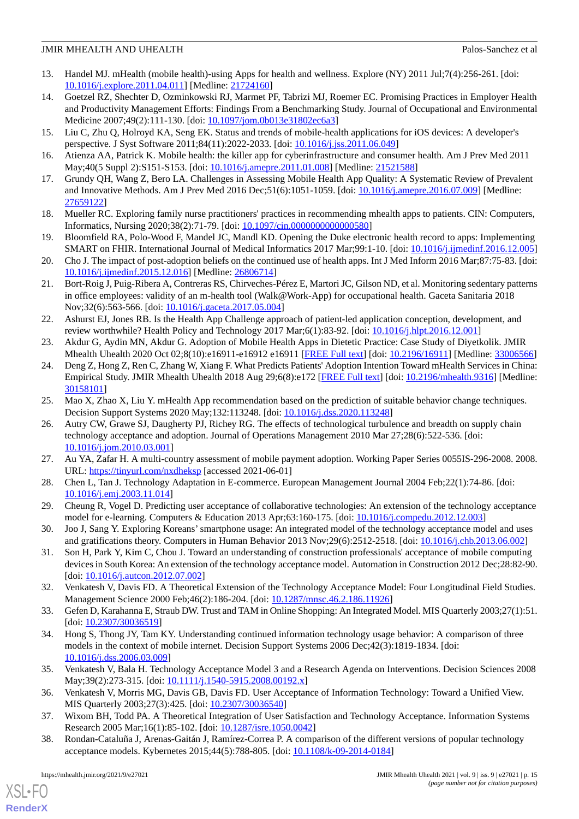- <span id="page-14-0"></span>13. Handel MJ. mHealth (mobile health)-using Apps for health and wellness. Explore (NY) 2011 Jul;7(4):256-261. [doi: [10.1016/j.explore.2011.04.011](http://dx.doi.org/10.1016/j.explore.2011.04.011)] [Medline: [21724160](http://www.ncbi.nlm.nih.gov/entrez/query.fcgi?cmd=Retrieve&db=PubMed&list_uids=21724160&dopt=Abstract)]
- <span id="page-14-1"></span>14. Goetzel RZ, Shechter D, Ozminkowski RJ, Marmet PF, Tabrizi MJ, Roemer EC. Promising Practices in Employer Health and Productivity Management Efforts: Findings From a Benchmarking Study. Journal of Occupational and Environmental Medicine 2007;49(2):111-130. [doi: [10.1097/jom.0b013e31802ec6a3\]](http://dx.doi.org/10.1097/jom.0b013e31802ec6a3)
- <span id="page-14-3"></span><span id="page-14-2"></span>15. Liu C, Zhu Q, Holroyd KA, Seng EK. Status and trends of mobile-health applications for iOS devices: A developer's perspective. J Syst Software 2011;84(11):2022-2033. [doi: [10.1016/j.jss.2011.06.049\]](http://dx.doi.org/10.1016/j.jss.2011.06.049)
- <span id="page-14-4"></span>16. Atienza AA, Patrick K. Mobile health: the killer app for cyberinfrastructure and consumer health. Am J Prev Med 2011 May;40(5 Suppl 2):S151-S153. [doi: [10.1016/j.amepre.2011.01.008\]](http://dx.doi.org/10.1016/j.amepre.2011.01.008) [Medline: [21521588](http://www.ncbi.nlm.nih.gov/entrez/query.fcgi?cmd=Retrieve&db=PubMed&list_uids=21521588&dopt=Abstract)]
- <span id="page-14-5"></span>17. Grundy QH, Wang Z, Bero LA. Challenges in Assessing Mobile Health App Quality: A Systematic Review of Prevalent and Innovative Methods. Am J Prev Med 2016 Dec;51(6):1051-1059. [doi: [10.1016/j.amepre.2016.07.009](http://dx.doi.org/10.1016/j.amepre.2016.07.009)] [Medline: [27659122](http://www.ncbi.nlm.nih.gov/entrez/query.fcgi?cmd=Retrieve&db=PubMed&list_uids=27659122&dopt=Abstract)]
- <span id="page-14-6"></span>18. Mueller RC. Exploring family nurse practitioners' practices in recommending mhealth apps to patients. CIN: Computers, Informatics, Nursing 2020;38(2):71-79. [doi: [10.1097/cin.0000000000000580](http://dx.doi.org/10.1097/cin.0000000000000580)]
- <span id="page-14-7"></span>19. Bloomfield RA, Polo-Wood F, Mandel JC, Mandl KD. Opening the Duke electronic health record to apps: Implementing SMART on FHIR. International Journal of Medical Informatics 2017 Mar;99:1-10. [doi: [10.1016/j.ijmedinf.2016.12.005](http://dx.doi.org/10.1016/j.ijmedinf.2016.12.005)]
- <span id="page-14-8"></span>20. Cho J. The impact of post-adoption beliefs on the continued use of health apps. Int J Med Inform 2016 Mar;87:75-83. [doi: [10.1016/j.ijmedinf.2015.12.016\]](http://dx.doi.org/10.1016/j.ijmedinf.2015.12.016) [Medline: [26806714](http://www.ncbi.nlm.nih.gov/entrez/query.fcgi?cmd=Retrieve&db=PubMed&list_uids=26806714&dopt=Abstract)]
- <span id="page-14-9"></span>21. Bort-Roig J, Puig-Ribera A, Contreras RS, Chirveches-Pérez E, Martori JC, Gilson ND, et al. Monitoring sedentary patterns in office employees: validity of an m-health tool (Walk@Work-App) for occupational health. Gaceta Sanitaria 2018 Nov;32(6):563-566. [doi: [10.1016/j.gaceta.2017.05.004](http://dx.doi.org/10.1016/j.gaceta.2017.05.004)]
- <span id="page-14-11"></span><span id="page-14-10"></span>22. Ashurst EJ, Jones RB. Is the Health App Challenge approach of patient-led application conception, development, and review worthwhile? Health Policy and Technology 2017 Mar;6(1):83-92. [doi: [10.1016/j.hlpt.2016.12.001](http://dx.doi.org/10.1016/j.hlpt.2016.12.001)]
- 23. Akdur G, Aydin MN, Akdur G. Adoption of Mobile Health Apps in Dietetic Practice: Case Study of Diyetkolik. JMIR Mhealth Uhealth 2020 Oct 02;8(10):e16911-e16912 e16911 [\[FREE Full text\]](https://mhealth.jmir.org/2020/10/e16911/) [doi: [10.2196/16911](http://dx.doi.org/10.2196/16911)] [Medline: [33006566\]](http://www.ncbi.nlm.nih.gov/entrez/query.fcgi?cmd=Retrieve&db=PubMed&list_uids=33006566&dopt=Abstract)
- <span id="page-14-13"></span><span id="page-14-12"></span>24. Deng Z, Hong Z, Ren C, Zhang W, Xiang F. What Predicts Patients' Adoption Intention Toward mHealth Services in China: Empirical Study. JMIR Mhealth Uhealth 2018 Aug 29;6(8):e172 [\[FREE Full text\]](https://mhealth.jmir.org/2018/8/e172/) [doi: [10.2196/mhealth.9316\]](http://dx.doi.org/10.2196/mhealth.9316) [Medline: [30158101](http://www.ncbi.nlm.nih.gov/entrez/query.fcgi?cmd=Retrieve&db=PubMed&list_uids=30158101&dopt=Abstract)]
- 25. Mao X, Zhao X, Liu Y. mHealth App recommendation based on the prediction of suitable behavior change techniques. Decision Support Systems 2020 May;132:113248. [doi: [10.1016/j.dss.2020.113248\]](http://dx.doi.org/10.1016/j.dss.2020.113248)
- <span id="page-14-15"></span><span id="page-14-14"></span>26. Autry CW, Grawe SJ, Daugherty PJ, Richey RG. The effects of technological turbulence and breadth on supply chain technology acceptance and adoption. Journal of Operations Management 2010 Mar 27;28(6):522-536. [doi: [10.1016/j.jom.2010.03.001](http://dx.doi.org/10.1016/j.jom.2010.03.001)]
- <span id="page-14-16"></span>27. Au YA, Zafar H. A multi-country assessment of mobile payment adoption. Working Paper Series 0055IS-296-2008. 2008. URL: [https://tinyurl.com/nxdheksp](https://www.researchgate.net/profile/Humayun-Zafar/publication/46468028_A_Multi-Country_Assessment_of_Mobile_Payment_Adoption/links/565a1a3c08aefe619b2327f6/A-Multi-Country-Assessment-of-Mobile-Payment-Adoption.pdf) [accessed 2021-06-01]
- <span id="page-14-17"></span>28. Chen L, Tan J. Technology Adaptation in E-commerce. European Management Journal 2004 Feb;22(1):74-86. [doi: [10.1016/j.emj.2003.11.014\]](http://dx.doi.org/10.1016/j.emj.2003.11.014)
- <span id="page-14-18"></span>29. Cheung R, Vogel D. Predicting user acceptance of collaborative technologies: An extension of the technology acceptance model for e-learning. Computers & Education 2013 Apr;63:160-175. [doi: [10.1016/j.compedu.2012.12.003](http://dx.doi.org/10.1016/j.compedu.2012.12.003)]
- <span id="page-14-19"></span>30. Joo J, Sang Y. Exploring Koreans'smartphone usage: An integrated model of the technology acceptance model and uses and gratifications theory. Computers in Human Behavior 2013 Nov;29(6):2512-2518. [doi: [10.1016/j.chb.2013.06.002\]](http://dx.doi.org/10.1016/j.chb.2013.06.002)
- <span id="page-14-20"></span>31. Son H, Park Y, Kim C, Chou J. Toward an understanding of construction professionals' acceptance of mobile computing devices in South Korea: An extension of the technology acceptance model. Automation in Construction 2012 Dec;28:82-90. [doi: [10.1016/j.autcon.2012.07.002\]](http://dx.doi.org/10.1016/j.autcon.2012.07.002)
- <span id="page-14-21"></span>32. Venkatesh V, Davis FD. A Theoretical Extension of the Technology Acceptance Model: Four Longitudinal Field Studies. Management Science 2000 Feb;46(2):186-204. [doi: [10.1287/mnsc.46.2.186.11926\]](http://dx.doi.org/10.1287/mnsc.46.2.186.11926)
- <span id="page-14-22"></span>33. Gefen D, Karahanna E, Straub DW. Trust and TAM in Online Shopping: An Integrated Model. MIS Quarterly 2003;27(1):51. [doi: [10.2307/30036519](http://dx.doi.org/10.2307/30036519)]
- <span id="page-14-24"></span><span id="page-14-23"></span>34. Hong S, Thong JY, Tam KY. Understanding continued information technology usage behavior: A comparison of three models in the context of mobile internet. Decision Support Systems 2006 Dec;42(3):1819-1834. [doi: [10.1016/j.dss.2006.03.009](http://dx.doi.org/10.1016/j.dss.2006.03.009)]
- <span id="page-14-25"></span>35. Venkatesh V, Bala H. Technology Acceptance Model 3 and a Research Agenda on Interventions. Decision Sciences 2008 May; 39(2): 273-315. [doi: [10.1111/j.1540-5915.2008.00192.x](http://dx.doi.org/10.1111/j.1540-5915.2008.00192.x)]
- 36. Venkatesh V, Morris MG, Davis GB, Davis FD. User Acceptance of Information Technology: Toward a Unified View. MIS Quarterly 2003;27(3):425. [doi: [10.2307/30036540\]](http://dx.doi.org/10.2307/30036540)
- 37. Wixom BH, Todd PA. A Theoretical Integration of User Satisfaction and Technology Acceptance. Information Systems Research 2005 Mar;16(1):85-102. [doi: [10.1287/isre.1050.0042\]](http://dx.doi.org/10.1287/isre.1050.0042)
- 38. Rondan-Cataluña J, Arenas-Gaitán J, Ramírez-Correa P. A comparison of the different versions of popular technology acceptance models. Kybernetes 2015;44(5):788-805. [doi: [10.1108/k-09-2014-0184\]](http://dx.doi.org/10.1108/k-09-2014-0184)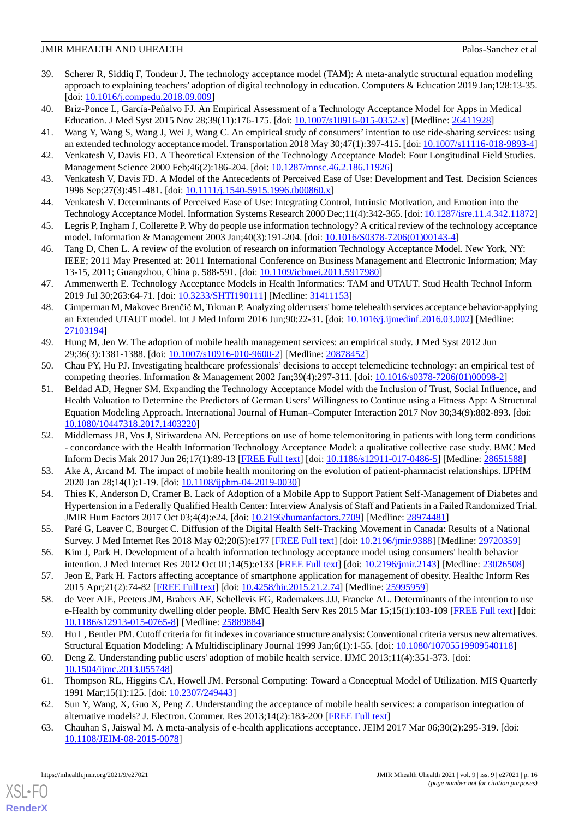- <span id="page-15-0"></span>39. Scherer R, Siddiq F, Tondeur J. The technology acceptance model (TAM): A meta-analytic structural equation modeling approach to explaining teachers' adoption of digital technology in education. Computers & Education 2019 Jan;128:13-35. [doi: <u>10.1016/j.compedu.2018.09.009</u>]
- <span id="page-15-2"></span><span id="page-15-1"></span>40. Briz-Ponce L, García-Peñalvo FJ. An Empirical Assessment of a Technology Acceptance Model for Apps in Medical Education. J Med Syst 2015 Nov 28;39(11):176-175. [doi:  $10.1007/s10916-015-0352-x$ ] [Medline: [26411928\]](http://www.ncbi.nlm.nih.gov/entrez/query.fcgi?cmd=Retrieve&db=PubMed&list_uids=26411928&dopt=Abstract)
- <span id="page-15-3"></span>41. Wang Y, Wang S, Wang J, Wei J, Wang C. An empirical study of consumers' intention to use ride-sharing services: using an extended technology acceptance model. Transportation 2018 May 30;47(1):397-415. [doi: [10.1007/s11116-018-9893-4](http://dx.doi.org/10.1007/s11116-018-9893-4)]
- <span id="page-15-4"></span>42. Venkatesh V, Davis FD. A Theoretical Extension of the Technology Acceptance Model: Four Longitudinal Field Studies. Management Science 2000 Feb;46(2):186-204. [doi: [10.1287/mnsc.46.2.186.11926\]](http://dx.doi.org/10.1287/mnsc.46.2.186.11926)
- <span id="page-15-5"></span>43. Venkatesh V, Davis FD. A Model of the Antecedents of Perceived Ease of Use: Development and Test. Decision Sciences 1996 Sep; 27(3): 451-481. [doi: [10.1111/j.1540-5915.1996.tb00860.x](http://dx.doi.org/10.1111/j.1540-5915.1996.tb00860.x)]
- <span id="page-15-6"></span>44. Venkatesh V. Determinants of Perceived Ease of Use: Integrating Control, Intrinsic Motivation, and Emotion into the Technology Acceptance Model. Information Systems Research 2000 Dec;11(4):342-365. [doi: [10.1287/isre.11.4.342.11872\]](http://dx.doi.org/10.1287/isre.11.4.342.11872)
- <span id="page-15-7"></span>45. Legris P, Ingham J, Collerette P. Why do people use information technology? A critical review of the technology acceptance model. Information & Management 2003 Jan;40(3):191-204. [doi: [10.1016/S0378-7206\(01\)00143-4\]](http://dx.doi.org/10.1016/S0378-7206(01)00143-4)
- <span id="page-15-8"></span>46. Tang D, Chen L. A review of the evolution of research on information Technology Acceptance Model. New York, NY: IEEE; 2011 May Presented at: 2011 International Conference on Business Management and Electronic Information; May 13-15, 2011; Guangzhou, China p. 588-591. [doi: [10.1109/icbmei.2011.5917980\]](http://dx.doi.org/10.1109/icbmei.2011.5917980)
- <span id="page-15-9"></span>47. Ammenwerth E. Technology Acceptance Models in Health Informatics: TAM and UTAUT. Stud Health Technol Inform 2019 Jul 30;263:64-71. [doi: [10.3233/SHTI190111\]](http://dx.doi.org/10.3233/SHTI190111) [Medline: [31411153\]](http://www.ncbi.nlm.nih.gov/entrez/query.fcgi?cmd=Retrieve&db=PubMed&list_uids=31411153&dopt=Abstract)
- <span id="page-15-10"></span>48. Cimperman M, Makovec Brenčič M, Trkman P. Analyzing older users' home telehealth services acceptance behavior-applying an Extended UTAUT model. Int J Med Inform 2016 Jun;90:22-31. [doi: [10.1016/j.ijmedinf.2016.03.002](http://dx.doi.org/10.1016/j.ijmedinf.2016.03.002)] [Medline: [27103194](http://www.ncbi.nlm.nih.gov/entrez/query.fcgi?cmd=Retrieve&db=PubMed&list_uids=27103194&dopt=Abstract)]
- <span id="page-15-12"></span><span id="page-15-11"></span>49. Hung M, Jen W. The adoption of mobile health management services: an empirical study. J Med Syst 2012 Jun 29;36(3):1381-1388. [doi: [10.1007/s10916-010-9600-2\]](http://dx.doi.org/10.1007/s10916-010-9600-2) [Medline: [20878452](http://www.ncbi.nlm.nih.gov/entrez/query.fcgi?cmd=Retrieve&db=PubMed&list_uids=20878452&dopt=Abstract)]
- 50. Chau PY, Hu PJ. Investigating healthcare professionals' decisions to accept telemedicine technology: an empirical test of competing theories. Information & Management 2002 Jan;39(4):297-311. [doi: [10.1016/s0378-7206\(01\)00098-2](http://dx.doi.org/10.1016/s0378-7206(01)00098-2)]
- <span id="page-15-13"></span>51. Beldad AD, Hegner SM. Expanding the Technology Acceptance Model with the Inclusion of Trust, Social Influence, and Health Valuation to Determine the Predictors of German Users' Willingness to Continue using a Fitness App: A Structural Equation Modeling Approach. International Journal of Human–Computer Interaction 2017 Nov 30;34(9):882-893. [doi: [10.1080/10447318.2017.1403220\]](http://dx.doi.org/10.1080/10447318.2017.1403220)
- <span id="page-15-15"></span><span id="page-15-14"></span>52. Middlemass JB, Vos J, Siriwardena AN. Perceptions on use of home telemonitoring in patients with long term conditions - concordance with the Health Information Technology Acceptance Model: a qualitative collective case study. BMC Med Inform Decis Mak 2017 Jun 26;17(1):89-13 [\[FREE Full text\]](https://bmcmedinformdecismak.biomedcentral.com/articles/10.1186/s12911-017-0486-5) [doi: [10.1186/s12911-017-0486-5\]](http://dx.doi.org/10.1186/s12911-017-0486-5) [Medline: [28651588\]](http://www.ncbi.nlm.nih.gov/entrez/query.fcgi?cmd=Retrieve&db=PubMed&list_uids=28651588&dopt=Abstract)
- <span id="page-15-16"></span>53. Ake A, Arcand M. The impact of mobile health monitoring on the evolution of patient-pharmacist relationships. IJPHM 2020 Jan 28;14(1):1-19. [doi: [10.1108/ijphm-04-2019-0030](http://dx.doi.org/10.1108/ijphm-04-2019-0030)]
- <span id="page-15-17"></span>54. Thies K, Anderson D, Cramer B. Lack of Adoption of a Mobile App to Support Patient Self-Management of Diabetes and Hypertension in a Federally Qualified Health Center: Interview Analysis of Staff and Patients in a Failed Randomized Trial. JMIR Hum Factors 2017 Oct 03;4(4):e24. [doi: [10.2196/humanfactors.7709\]](http://dx.doi.org/10.2196/humanfactors.7709) [Medline: [28974481](http://www.ncbi.nlm.nih.gov/entrez/query.fcgi?cmd=Retrieve&db=PubMed&list_uids=28974481&dopt=Abstract)]
- <span id="page-15-19"></span><span id="page-15-18"></span>55. Paré G, Leaver C, Bourget C. Diffusion of the Digital Health Self-Tracking Movement in Canada: Results of a National Survey. J Med Internet Res 2018 May 02;20(5):e177 [\[FREE Full text\]](https://www.jmir.org/2018/5/e177/) [doi: [10.2196/jmir.9388\]](http://dx.doi.org/10.2196/jmir.9388) [Medline: [29720359](http://www.ncbi.nlm.nih.gov/entrez/query.fcgi?cmd=Retrieve&db=PubMed&list_uids=29720359&dopt=Abstract)]
- 56. Kim J, Park H. Development of a health information technology acceptance model using consumers' health behavior intention. J Med Internet Res 2012 Oct 01;14(5):e133 [\[FREE Full text\]](https://www.jmir.org/2012/5/e133/) [doi: [10.2196/jmir.2143\]](http://dx.doi.org/10.2196/jmir.2143) [Medline: [23026508\]](http://www.ncbi.nlm.nih.gov/entrez/query.fcgi?cmd=Retrieve&db=PubMed&list_uids=23026508&dopt=Abstract)
- <span id="page-15-20"></span>57. Jeon E, Park H. Factors affecting acceptance of smartphone application for management of obesity. Healthc Inform Res 2015 Apr;21(2):74-82 [[FREE Full text](https://www.e-hir.org/DOIx.php?id=10.4258/hir.2015.21.2.74)] [doi: [10.4258/hir.2015.21.2.74](http://dx.doi.org/10.4258/hir.2015.21.2.74)] [Medline: [25995959](http://www.ncbi.nlm.nih.gov/entrez/query.fcgi?cmd=Retrieve&db=PubMed&list_uids=25995959&dopt=Abstract)]
- <span id="page-15-22"></span><span id="page-15-21"></span>58. de Veer AJE, Peeters JM, Brabers AE, Schellevis FG, Rademakers JJJ, Francke AL. Determinants of the intention to use e-Health by community dwelling older people. BMC Health Serv Res 2015 Mar 15;15(1):103-109 [\[FREE Full text\]](https://bmchealthservres.biomedcentral.com/articles/10.1186/s12913-015-0765-8) [doi: [10.1186/s12913-015-0765-8\]](http://dx.doi.org/10.1186/s12913-015-0765-8) [Medline: [25889884](http://www.ncbi.nlm.nih.gov/entrez/query.fcgi?cmd=Retrieve&db=PubMed&list_uids=25889884&dopt=Abstract)]
- <span id="page-15-23"></span>59. Hu L, Bentler PM. Cutoff criteria for fit indexes in covariance structure analysis: Conventional criteria versus new alternatives. Structural Equation Modeling: A Multidisciplinary Journal 1999 Jan;6(1):1-55. [doi: [10.1080/10705519909540118\]](http://dx.doi.org/10.1080/10705519909540118)
- <span id="page-15-24"></span>60. Deng Z. Understanding public users' adoption of mobile health service. IJMC 2013;11(4):351-373. [doi: [10.1504/ijmc.2013.055748\]](http://dx.doi.org/10.1504/ijmc.2013.055748)
- 61. Thompson RL, Higgins CA, Howell JM. Personal Computing: Toward a Conceptual Model of Utilization. MIS Quarterly 1991 Mar;15(1):125. [doi: [10.2307/249443\]](http://dx.doi.org/10.2307/249443)
- 62. Sun Y, Wang, X, Guo X, Peng Z. Understanding the acceptance of mobile health services: a comparison integration of alternative models? J. Electron. Commer. Res 2013;14(2):183-200 [[FREE Full text](https://www.researchgate.net/publication/287867125_Understanding_the_acceptance_of_mobile_health_services_A_comparison_and_integration_of_alternative_models)]
- 63. Chauhan S, Jaiswal M. A meta-analysis of e-health applications acceptance. JEIM 2017 Mar 06;30(2):295-319. [doi: [10.1108/JEIM-08-2015-0078](http://dx.doi.org/10.1108/JEIM-08-2015-0078)]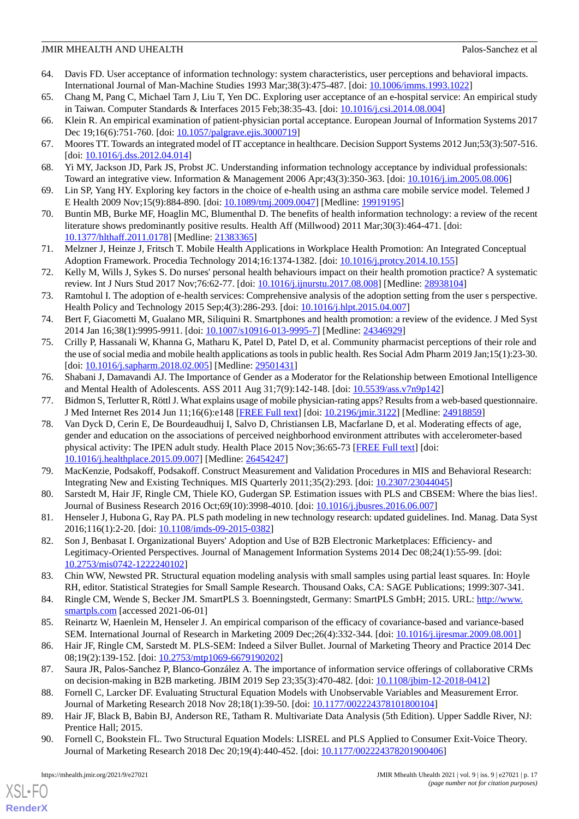- <span id="page-16-0"></span>64. Davis FD. User acceptance of information technology: system characteristics, user perceptions and behavioral impacts. International Journal of Man-Machine Studies 1993 Mar;38(3):475-487. [doi: [10.1006/imms.1993.1022\]](http://dx.doi.org/10.1006/imms.1993.1022)
- <span id="page-16-2"></span><span id="page-16-1"></span>65. Chang M, Pang C, Michael Tarn J, Liu T, Yen DC. Exploring user acceptance of an e-hospital service: An empirical study in Taiwan. Computer Standards & Interfaces 2015 Feb;38:35-43. [doi: [10.1016/j.csi.2014.08.004](http://dx.doi.org/10.1016/j.csi.2014.08.004)]
- <span id="page-16-3"></span>66. Klein R. An empirical examination of patient-physician portal acceptance. European Journal of Information Systems 2017 Dec 19;16(6):751-760. [doi: [10.1057/palgrave.ejis.3000719](http://dx.doi.org/10.1057/palgrave.ejis.3000719)]
- <span id="page-16-4"></span>67. Moores TT. Towards an integrated model of IT acceptance in healthcare. Decision Support Systems 2012 Jun;53(3):507-516. [doi: [10.1016/j.dss.2012.04.014\]](http://dx.doi.org/10.1016/j.dss.2012.04.014)
- <span id="page-16-5"></span>68. Yi MY, Jackson JD, Park JS, Probst JC. Understanding information technology acceptance by individual professionals: Toward an integrative view. Information & Management 2006 Apr;43(3):350-363. [doi: [10.1016/j.im.2005.08.006](http://dx.doi.org/10.1016/j.im.2005.08.006)]
- <span id="page-16-6"></span>69. Lin SP, Yang HY. Exploring key factors in the choice of e-health using an asthma care mobile service model. Telemed J E Health 2009 Nov;15(9):884-890. [doi: [10.1089/tmj.2009.0047](http://dx.doi.org/10.1089/tmj.2009.0047)] [Medline: [19919195](http://www.ncbi.nlm.nih.gov/entrez/query.fcgi?cmd=Retrieve&db=PubMed&list_uids=19919195&dopt=Abstract)]
- <span id="page-16-7"></span>70. Buntin MB, Burke MF, Hoaglin MC, Blumenthal D. The benefits of health information technology: a review of the recent literature shows predominantly positive results. Health Aff (Millwood) 2011 Mar;30(3):464-471. [doi: [10.1377/hlthaff.2011.0178](http://dx.doi.org/10.1377/hlthaff.2011.0178)] [Medline: [21383365\]](http://www.ncbi.nlm.nih.gov/entrez/query.fcgi?cmd=Retrieve&db=PubMed&list_uids=21383365&dopt=Abstract)
- <span id="page-16-8"></span>71. Melzner J, Heinze J, Fritsch T. Mobile Health Applications in Workplace Health Promotion: An Integrated Conceptual Adoption Framework. Procedia Technology 2014;16:1374-1382. [doi: [10.1016/j.protcy.2014.10.155\]](http://dx.doi.org/10.1016/j.protcy.2014.10.155)
- <span id="page-16-9"></span>72. Kelly M, Wills J, Sykes S. Do nurses' personal health behaviours impact on their health promotion practice? A systematic review. Int J Nurs Stud 2017 Nov; 76:62-77. [doi: 10.1016/j.ijnurstu. 2017.08.008] [Medline: [28938104\]](http://www.ncbi.nlm.nih.gov/entrez/query.fcgi?cmd=Retrieve&db=PubMed&list_uids=28938104&dopt=Abstract)
- <span id="page-16-10"></span>73. Ramtohul I. The adoption of e-health services: Comprehensive analysis of the adoption setting from the user s perspective. Health Policy and Technology 2015 Sep;4(3):286-293. [doi: [10.1016/j.hlpt.2015.04.007](http://dx.doi.org/10.1016/j.hlpt.2015.04.007)]
- <span id="page-16-11"></span>74. Bert F, Giacometti M, Gualano MR, Siliquini R. Smartphones and health promotion: a review of the evidence. J Med Syst 2014 Jan 16;38(1):9995-9911. [doi: [10.1007/s10916-013-9995-7\]](http://dx.doi.org/10.1007/s10916-013-9995-7) [Medline: [24346929\]](http://www.ncbi.nlm.nih.gov/entrez/query.fcgi?cmd=Retrieve&db=PubMed&list_uids=24346929&dopt=Abstract)
- <span id="page-16-12"></span>75. Crilly P, Hassanali W, Khanna G, Matharu K, Patel D, Patel D, et al. Community pharmacist perceptions of their role and the use of social media and mobile health applications as tools in public health. Res Social Adm Pharm 2019 Jan;15(1):23-30. [doi: [10.1016/j.sapharm.2018.02.005\]](http://dx.doi.org/10.1016/j.sapharm.2018.02.005) [Medline: [29501431\]](http://www.ncbi.nlm.nih.gov/entrez/query.fcgi?cmd=Retrieve&db=PubMed&list_uids=29501431&dopt=Abstract)
- <span id="page-16-14"></span><span id="page-16-13"></span>76. Shabani J, Damavandi AJ. The Importance of Gender as a Moderator for the Relationship between Emotional Intelligence and Mental Health of Adolescents. ASS 2011 Aug 31;7(9):142-148. [doi: [10.5539/ass.v7n9p142](http://dx.doi.org/10.5539/ass.v7n9p142)]
- 77. Bidmon S, Terlutter R, Röttl J. What explains usage of mobile physician-rating apps? Results from a web-based questionnaire. J Med Internet Res 2014 Jun 11;16(6):e148 [\[FREE Full text\]](https://www.jmir.org/2014/6/e148/) [doi: [10.2196/jmir.3122\]](http://dx.doi.org/10.2196/jmir.3122) [Medline: [24918859\]](http://www.ncbi.nlm.nih.gov/entrez/query.fcgi?cmd=Retrieve&db=PubMed&list_uids=24918859&dopt=Abstract)
- <span id="page-16-16"></span><span id="page-16-15"></span>78. Van Dyck D, Cerin E, De Bourdeaudhuij I, Salvo D, Christiansen LB, Macfarlane D, et al. Moderating effects of age, gender and education on the associations of perceived neighborhood environment attributes with accelerometer-based physical activity: The IPEN adult study. Health Place 2015 Nov;36:65-73 [\[FREE Full text\]](http://europepmc.org/abstract/MED/26454247) [doi: [10.1016/j.healthplace.2015.09.007](http://dx.doi.org/10.1016/j.healthplace.2015.09.007)] [Medline: [26454247\]](http://www.ncbi.nlm.nih.gov/entrez/query.fcgi?cmd=Retrieve&db=PubMed&list_uids=26454247&dopt=Abstract)
- <span id="page-16-17"></span>79. MacKenzie, Podsakoff, Podsakoff. Construct Measurement and Validation Procedures in MIS and Behavioral Research: Integrating New and Existing Techniques. MIS Quarterly 2011;35(2):293. [doi: [10.2307/23044045](http://dx.doi.org/10.2307/23044045)]
- <span id="page-16-18"></span>80. Sarstedt M, Hair JF, Ringle CM, Thiele KO, Gudergan SP. Estimation issues with PLS and CBSEM: Where the bias lies!. Journal of Business Research 2016 Oct;69(10):3998-4010. [doi: [10.1016/j.jbusres.2016.06.007\]](http://dx.doi.org/10.1016/j.jbusres.2016.06.007)
- <span id="page-16-19"></span>81. Henseler J, Hubona G, Ray PA. PLS path modeling in new technology research: updated guidelines. Ind. Manag. Data Syst 2016;116(1):2-20. [doi: [10.1108/imds-09-2015-0382](http://dx.doi.org/10.1108/imds-09-2015-0382)]
- <span id="page-16-20"></span>82. Son J, Benbasat I. Organizational Buyers' Adoption and Use of B2B Electronic Marketplaces: Efficiency- and Legitimacy-Oriented Perspectives. Journal of Management Information Systems 2014 Dec 08;24(1):55-99. [doi: [10.2753/mis0742-1222240102\]](http://dx.doi.org/10.2753/mis0742-1222240102)
- <span id="page-16-22"></span><span id="page-16-21"></span>83. Chin WW, Newsted PR. Structural equation modeling analysis with small samples using partial least squares. In: Hoyle RH, editor. Statistical Strategies for Small Sample Research. Thousand Oaks, CA: SAGE Publications; 1999:307-341.
- <span id="page-16-23"></span>84. Ringle CM, Wende S, Becker JM. SmartPLS 3. Boenningstedt, Germany: SmartPLS GmbH; 2015. URL: [http://www.](http://www.smartpls.com) [smartpls.com](http://www.smartpls.com) [accessed 2021-06-01]
- <span id="page-16-24"></span>85. Reinartz W, Haenlein M, Henseler J. An empirical comparison of the efficacy of covariance-based and variance-based SEM. International Journal of Research in Marketing 2009 Dec;26(4):332-344. [doi: [10.1016/j.ijresmar.2009.08.001\]](http://dx.doi.org/10.1016/j.ijresmar.2009.08.001)
- <span id="page-16-25"></span>86. Hair JF, Ringle CM, Sarstedt M. PLS-SEM: Indeed a Silver Bullet. Journal of Marketing Theory and Practice 2014 Dec 08;19(2):139-152. [doi: [10.2753/mtp1069-6679190202\]](http://dx.doi.org/10.2753/mtp1069-6679190202)
- <span id="page-16-26"></span>87. Saura JR, Palos-Sanchez P, Blanco-González A. The importance of information service offerings of collaborative CRMs on decision-making in B2B marketing. JBIM 2019 Sep 23;35(3):470-482. [doi: [10.1108/jbim-12-2018-0412\]](http://dx.doi.org/10.1108/jbim-12-2018-0412)
- 88. Fornell C, Larcker DF. Evaluating Structural Equation Models with Unobservable Variables and Measurement Error. Journal of Marketing Research 2018 Nov 28;18(1):39-50. [doi: [10.1177/002224378101800104\]](http://dx.doi.org/10.1177/002224378101800104)
- 89. Hair JF, Black B, Babin BJ, Anderson RE, Tatham R. Multivariate Data Analysis (5th Edition). Upper Saddle River, NJ: Prentice Hall; 2015.
- 90. Fornell C, Bookstein FL. Two Structural Equation Models: LISREL and PLS Applied to Consumer Exit-Voice Theory. Journal of Marketing Research 2018 Dec 20;19(4):440-452. [doi: [10.1177/002224378201900406\]](http://dx.doi.org/10.1177/002224378201900406)

 $XS$  • FO **[RenderX](http://www.renderx.com/)**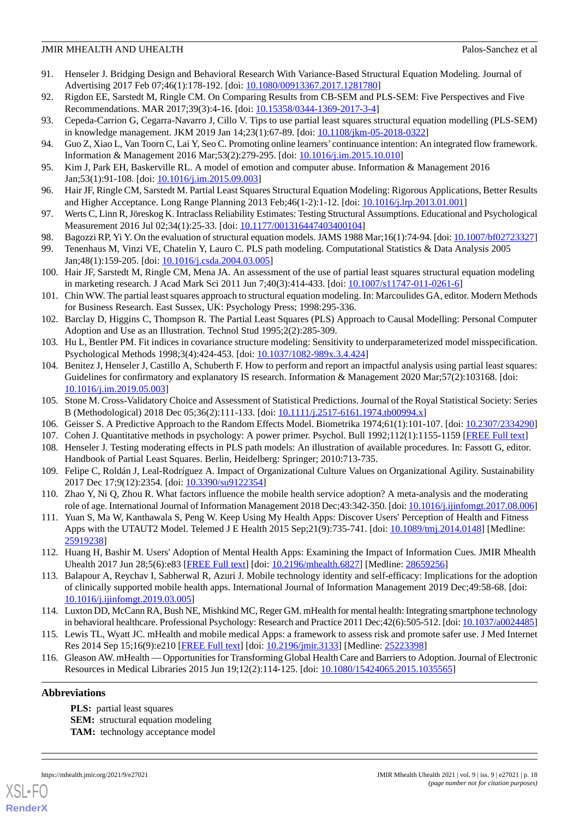- <span id="page-17-0"></span>91. Henseler J. Bridging Design and Behavioral Research With Variance-Based Structural Equation Modeling. Journal of Advertising 2017 Feb 07;46(1):178-192. [doi: [10.1080/00913367.2017.1281780](http://dx.doi.org/10.1080/00913367.2017.1281780)]
- <span id="page-17-2"></span><span id="page-17-1"></span>92. Rigdon EE, Sarstedt M, Ringle CM. On Comparing Results from CB-SEM and PLS-SEM: Five Perspectives and Five Recommendations. MAR 2017;39(3):4-16. [doi: [10.15358/0344-1369-2017-3-4\]](http://dx.doi.org/10.15358/0344-1369-2017-3-4)
- <span id="page-17-3"></span>93. Cepeda-Carrion G, Cegarra-Navarro J, Cillo V. Tips to use partial least squares structural equation modelling (PLS-SEM) in knowledge management. JKM 2019 Jan 14;23(1):67-89. [doi: [10.1108/jkm-05-2018-0322\]](http://dx.doi.org/10.1108/jkm-05-2018-0322)
- <span id="page-17-4"></span>94. Guo Z, Xiao L, Van Toorn C, Lai Y, Seo C. Promoting online learners' continuance intention: An integrated flow framework. Information & Management 2016 Mar;53(2):279-295. [doi: [10.1016/j.im.2015.10.010\]](http://dx.doi.org/10.1016/j.im.2015.10.010)
- <span id="page-17-5"></span>95. Kim J, Park EH, Baskerville RL. A model of emotion and computer abuse. Information & Management 2016 Jan;53(1):91-108. [doi: [10.1016/j.im.2015.09.003](http://dx.doi.org/10.1016/j.im.2015.09.003)]
- <span id="page-17-6"></span>96. Hair JF, Ringle CM, Sarstedt M. Partial Least Squares Structural Equation Modeling: Rigorous Applications, Better Results and Higher Acceptance. Long Range Planning 2013 Feb;46(1-2):1-12. [doi: [10.1016/j.lrp.2013.01.001](http://dx.doi.org/10.1016/j.lrp.2013.01.001)]
- <span id="page-17-8"></span><span id="page-17-7"></span>97. Werts C, Linn R, Jöreskog K. Intraclass Reliability Estimates: Testing Structural Assumptions. Educational and Psychological Measurement 2016 Jul 02;34(1):25-33. [doi: [10.1177/001316447403400104](http://dx.doi.org/10.1177/001316447403400104)]
- 98. Bagozzi RP, Yi Y. On the evaluation of structural equation models. JAMS 1988 Mar;16(1):74-94. [doi: [10.1007/bf02723327\]](http://dx.doi.org/10.1007/bf02723327)
- <span id="page-17-9"></span>99. Tenenhaus M, Vinzi VE, Chatelin Y, Lauro C. PLS path modeling. Computational Statistics & Data Analysis 2005 Jan;48(1):159-205. [doi: [10.1016/j.csda.2004.03.005\]](http://dx.doi.org/10.1016/j.csda.2004.03.005)
- <span id="page-17-10"></span>100. Hair JF, Sarstedt M, Ringle CM, Mena JA. An assessment of the use of partial least squares structural equation modeling in marketing research. J Acad Mark Sci 2011 Jun 7;40(3):414-433. [doi: [10.1007/s11747-011-0261-6](http://dx.doi.org/10.1007/s11747-011-0261-6)]
- <span id="page-17-11"></span>101. Chin WW. The partial least squares approach to structural equation modeling. In: Marcoulides GA, editor. Modern Methods for Business Research. East Sussex, UK: Psychology Press; 1998:295-336.
- <span id="page-17-13"></span><span id="page-17-12"></span>102. Barclay D, Higgins C, Thompson R. The Partial Least Squares (PLS) Approach to Causal Modelling: Personal Computer Adoption and Use as an Illustration. Technol Stud 1995;2(2):285-309.
- 103. Hu L, Bentler PM. Fit indices in covariance structure modeling: Sensitivity to underparameterized model misspecification. Psychological Methods 1998;3(4):424-453. [doi: [10.1037/1082-989x.3.4.424\]](http://dx.doi.org/10.1037/1082-989x.3.4.424)
- <span id="page-17-15"></span><span id="page-17-14"></span>104. Benitez J, Henseler J, Castillo A, Schuberth F. How to perform and report an impactful analysis using partial least squares: Guidelines for confirmatory and explanatory IS research. Information & Management 2020 Mar;57(2):103168. [doi: [10.1016/j.im.2019.05.003](http://dx.doi.org/10.1016/j.im.2019.05.003)]
- <span id="page-17-17"></span><span id="page-17-16"></span>105. Stone M. Cross-Validatory Choice and Assessment of Statistical Predictions. Journal of the Royal Statistical Society: Series B (Methodological) 2018 Dec 05;36(2):111-133. [doi: [10.1111/j.2517-6161.1974.tb00994.x](http://dx.doi.org/10.1111/j.2517-6161.1974.tb00994.x)]
- <span id="page-17-18"></span>106. Geisser S. A Predictive Approach to the Random Effects Model. Biometrika 1974;61(1):101-107. [doi: [10.2307/2334290](http://dx.doi.org/10.2307/2334290)]
- 107. Cohen J. Quantitative methods in psychology: A power primer. Psychol. Bull 1992;112(1):1155-1159 [[FREE Full text\]](http://relak.net/psy/power/Cohen1992.pdf)
- <span id="page-17-19"></span>108. Henseler J. Testing moderating effects in PLS path models: An illustration of available procedures. In: Fassott G, editor. Handbook of Partial Least Squares. Berlin, Heidelberg: Springer; 2010:713-735.
- <span id="page-17-20"></span>109. Felipe C, Roldán J, Leal-Rodríguez A. Impact of Organizational Culture Values on Organizational Agility. Sustainability 2017 Dec 17;9(12):2354. [doi: [10.3390/su9122354](http://dx.doi.org/10.3390/su9122354)]
- <span id="page-17-21"></span>110. Zhao Y, Ni Q, Zhou R. What factors influence the mobile health service adoption? A meta-analysis and the moderating role of age. International Journal of Information Management 2018 Dec;43:342-350. [doi: 10.1016/j.jjinfomgt.2017.08.006]
- <span id="page-17-22"></span>111. Yuan S, Ma W, Kanthawala S, Peng W. Keep Using My Health Apps: Discover Users' Perception of Health and Fitness Apps with the UTAUT2 Model. Telemed J E Health 2015 Sep;21(9):735-741. [doi: [10.1089/tmj.2014.0148](http://dx.doi.org/10.1089/tmj.2014.0148)] [Medline: [25919238](http://www.ncbi.nlm.nih.gov/entrez/query.fcgi?cmd=Retrieve&db=PubMed&list_uids=25919238&dopt=Abstract)]
- <span id="page-17-23"></span>112. Huang H, Bashir M. Users' Adoption of Mental Health Apps: Examining the Impact of Information Cues. JMIR Mhealth Uhealth 2017 Jun 28;5(6):e83 [\[FREE Full text](https://mhealth.jmir.org/2017/6/e83/)] [doi: [10.2196/mhealth.6827\]](http://dx.doi.org/10.2196/mhealth.6827) [Medline: [28659256\]](http://www.ncbi.nlm.nih.gov/entrez/query.fcgi?cmd=Retrieve&db=PubMed&list_uids=28659256&dopt=Abstract)
- <span id="page-17-25"></span><span id="page-17-24"></span>113. Balapour A, Reychav I, Sabherwal R, Azuri J. Mobile technology identity and self-efficacy: Implications for the adoption of clinically supported mobile health apps. International Journal of Information Management 2019 Dec;49:58-68. [doi: [10.1016/j.ijinfomgt.2019.03.005\]](http://dx.doi.org/10.1016/j.ijinfomgt.2019.03.005)
- 114. Luxton DD, McCann RA, Bush NE, Mishkind MC, Reger GM. mHealth for mental health: Integrating smartphone technology in behavioral healthcare. Professional Psychology: Research and Practice 2011 Dec;42(6):505-512. [doi: [10.1037/a0024485\]](http://dx.doi.org/10.1037/a0024485)
- 115. Lewis TL, Wyatt JC. mHealth and mobile medical Apps: a framework to assess risk and promote safer use. J Med Internet Res 2014 Sep 15;16(9):e210 [\[FREE Full text\]](https://www.jmir.org/2014/9/e210/) [doi: [10.2196/jmir.3133](http://dx.doi.org/10.2196/jmir.3133)] [Medline: [25223398\]](http://www.ncbi.nlm.nih.gov/entrez/query.fcgi?cmd=Retrieve&db=PubMed&list_uids=25223398&dopt=Abstract)
- 116. Gleason AW. mHealth Opportunities for Transforming Global Health Care and Barriers to Adoption. Journal of Electronic Resources in Medical Libraries 2015 Jun 19;12(2):114-125. [doi: [10.1080/15424065.2015.1035565](http://dx.doi.org/10.1080/15424065.2015.1035565)]

### **Abbreviations**

**PLS:** partial least squares **SEM:** structural equation modeling TAM: technology acceptance model